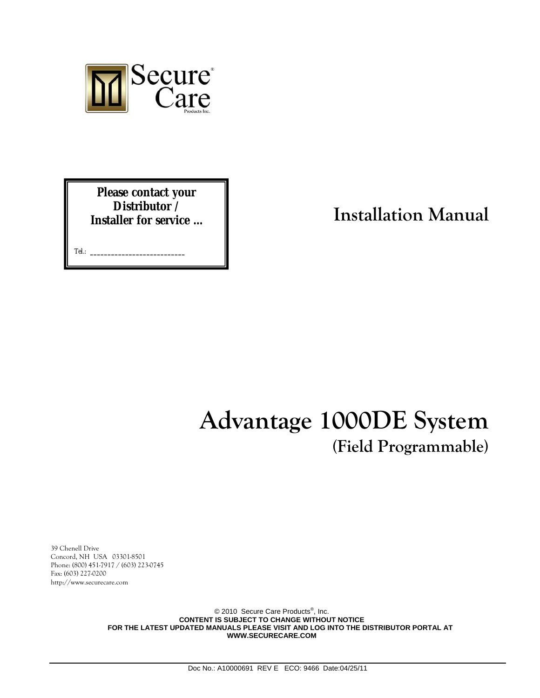

**Please contact your Distributor / Installer for service …** 

Tel.: **\_\_\_\_\_\_\_\_\_\_\_\_\_\_\_\_\_\_\_\_\_\_\_\_\_\_\_**

**Installation Manual**

# **Advantage 1000DE System (Field Programmable)**

39 Chenell Drive Concord, NH USA 03301-8501 Phone: (800) 451-7917 / (603) 223-0745 Fax: (603) 227-0200 http://www.securecare.com

> © 2010 Secure Care Products<sup>®</sup>, Inc. **CONTENT IS SUBJECT TO CHANGE WITHOUT NOTICE FOR THE LATEST UPDATED MANUALS PLEASE VISIT AND LOG INTO THE DISTRIBUTOR PORTAL AT WWW.SECURECARE.COM**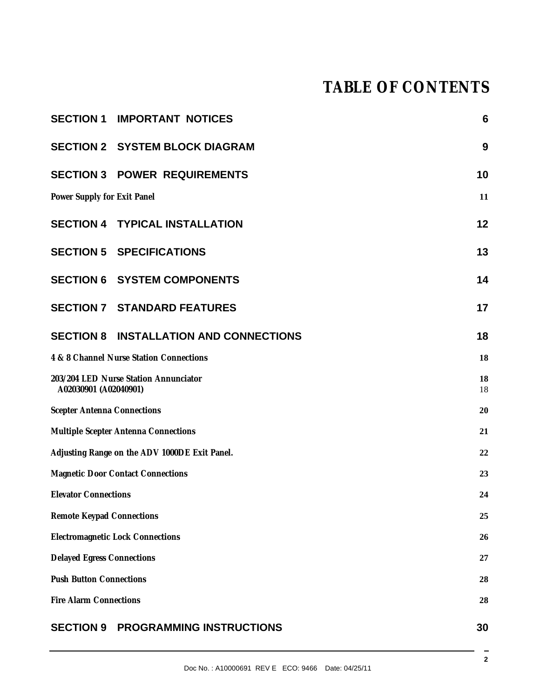# **TABLE OF CONTENTS**

|                                               | <b>SECTION 1 IMPORTANT NOTICES</b>            | $6\phantom{1}6$ |
|-----------------------------------------------|-----------------------------------------------|-----------------|
|                                               | <b>SECTION 2 SYSTEM BLOCK DIAGRAM</b>         | 9               |
|                                               | <b>SECTION 3 POWER REQUIREMENTS</b>           | 10              |
| Power Supply for Exit Panel                   |                                               | 11              |
|                                               | <b>SECTION 4 TYPICAL INSTALLATION</b>         | 12              |
|                                               | <b>SECTION 5 SPECIFICATIONS</b>               | 13              |
|                                               | <b>SECTION 6 SYSTEM COMPONENTS</b>            | 14              |
|                                               | <b>SECTION 7 STANDARD FEATURES</b>            | 17              |
|                                               | <b>SECTION 8 INSTALLATION AND CONNECTIONS</b> | 18              |
| 4 & 8 Channel Nurse Station Connections       |                                               | 18              |
| A02030901 (A02040901)                         | 203/204 LED Nurse Station Annunciator         | 18<br>18        |
| 20<br><b>Scepter Antenna Connections</b>      |                                               |                 |
| 21<br>Multiple Scepter Antenna Connections    |                                               |                 |
| Adjusting Range on the ADV 1000DE Exit Panel. |                                               | 22              |
| <b>Magnetic Door Contact Connections</b>      |                                               | 23              |
| <b>Elevator Connections</b>                   |                                               | 24              |
| <b>Remote Keypad Connections</b>              |                                               | 25              |
| <b>Electromagnetic Lock Connections</b>       |                                               | 26              |
| <b>Delayed Egress Connections</b>             |                                               | 27              |
| <b>Push Button Connections</b><br>28          |                                               |                 |
| <b>Fire Alarm Connections</b><br>28           |                                               |                 |
| <b>SECTION 9</b>                              | PROGRAMMING INSTRUCTIONS                      | 30              |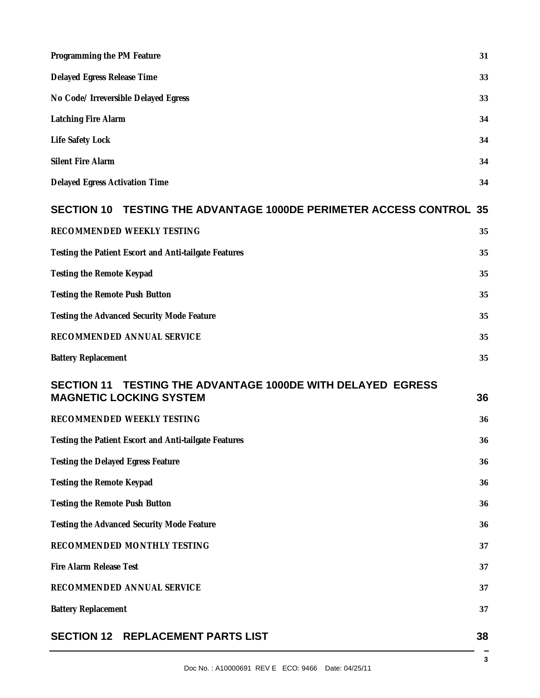| Programming the PM Feature                                                                                     | 31 |
|----------------------------------------------------------------------------------------------------------------|----|
| Delayed Egress Release Time                                                                                    | 33 |
| No Code/ Irreversible Delayed Egress                                                                           | 33 |
| Latching Fire Alarm                                                                                            | 34 |
| Life Safety Lock                                                                                               | 34 |
| <b>Silent Fire Alarm</b>                                                                                       | 34 |
| Delayed Egress Activation Time                                                                                 | 34 |
| TESTING THE ADVANTAGE 1000DE PERIMETER ACCESS CONTROL 35<br><b>SECTION 10</b>                                  |    |
| RECOMMENDED WEEKLY TESTING                                                                                     | 35 |
| Testing the Patient Escort and Anti-tailgate Features                                                          | 35 |
| Testing the Remote Keypad                                                                                      | 35 |
| Testing the Remote Push Button                                                                                 | 35 |
| Testing the Advanced Security Mode Feature                                                                     | 35 |
| RECOMMENDED ANNUAL SERVICE                                                                                     | 35 |
| <b>Battery Replacement</b>                                                                                     | 35 |
| <b>TESTING THE ADVANTAGE 1000DE WITH DELAYED EGRESS</b><br><b>SECTION 11</b><br><b>MAGNETIC LOCKING SYSTEM</b> | 36 |
| RECOMMENDED WEEKLY TESTING                                                                                     | 36 |
| Testing the Patient Escort and Anti-tailgate Features                                                          | 36 |
| Testing the Delayed Egress Feature                                                                             | 36 |
| Testing the Remote Keypad                                                                                      | 36 |
| Testing the Remote Push Button                                                                                 | 36 |
| Testing the Advanced Security Mode Feature                                                                     | 36 |
| RECOMMENDED MONTHLY TESTING                                                                                    | 37 |
| Fire Alarm Release Test                                                                                        | 37 |
| RECOMMENDED ANNUAL SERVICE                                                                                     | 37 |
| <b>Battery Replacement</b>                                                                                     | 37 |
| <b>SECTION 12 REPLACEMENT PARTS LIST</b>                                                                       | 38 |

3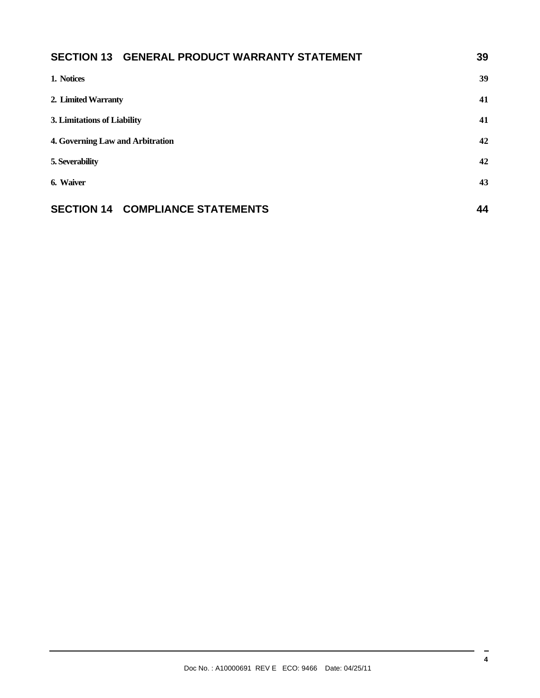| SECTION 13 GENERAL PRODUCT WARRANTY STATEMENT | 39 |
|-----------------------------------------------|----|
| 1. Notices                                    | 39 |
| 2. Limited Warranty                           | 41 |
| 3. Limitations of Liability                   |    |
| 4. Governing Law and Arbitration              | 42 |
| 5. Severability                               | 42 |
| 6. Waiver                                     | 43 |
| <b>SECTION 14 COMPLIANCE STATEMENTS</b>       | 44 |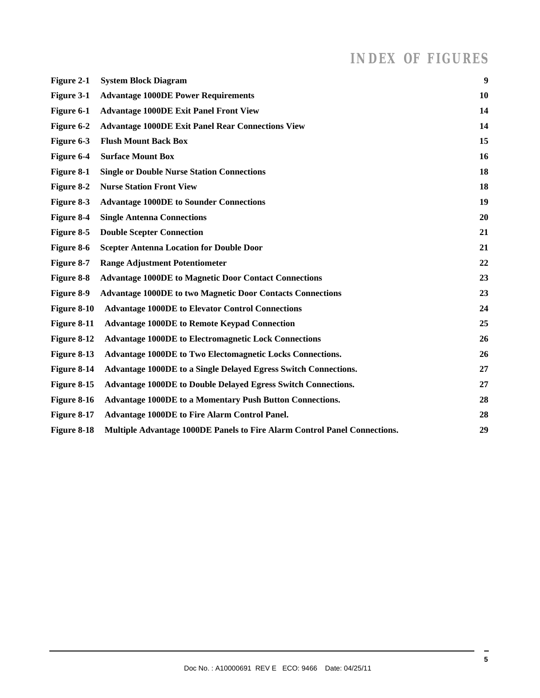# *INDEX OF FIGURES*

| Figure 2-1  | <b>System Block Diagram</b>                                               | 9  |
|-------------|---------------------------------------------------------------------------|----|
| Figure 3-1  | <b>Advantage 1000DE Power Requirements</b>                                | 10 |
| Figure 6-1  | <b>Advantage 1000DE Exit Panel Front View</b>                             | 14 |
| Figure 6-2  | <b>Advantage 1000DE Exit Panel Rear Connections View</b>                  | 14 |
| Figure 6-3  | <b>Flush Mount Back Box</b>                                               | 15 |
| Figure 6-4  | <b>Surface Mount Box</b>                                                  | 16 |
| Figure 8-1  | <b>Single or Double Nurse Station Connections</b>                         | 18 |
| Figure 8-2  | <b>Nurse Station Front View</b>                                           | 18 |
| Figure 8-3  | <b>Advantage 1000DE to Sounder Connections</b>                            | 19 |
| Figure 8-4  | <b>Single Antenna Connections</b>                                         | 20 |
| Figure 8-5  | <b>Double Scepter Connection</b>                                          | 21 |
| Figure 8-6  | <b>Scepter Antenna Location for Double Door</b>                           | 21 |
| Figure 8-7  | <b>Range Adjustment Potentiometer</b>                                     | 22 |
| Figure 8-8  | <b>Advantage 1000DE to Magnetic Door Contact Connections</b>              | 23 |
| Figure 8-9  | <b>Advantage 1000DE to two Magnetic Door Contacts Connections</b>         | 23 |
| Figure 8-10 | <b>Advantage 1000DE to Elevator Control Connections</b>                   | 24 |
| Figure 8-11 | <b>Advantage 1000DE to Remote Keypad Connection</b>                       | 25 |
| Figure 8-12 | <b>Advantage 1000DE to Electromagnetic Lock Connections</b>               | 26 |
| Figure 8-13 | <b>Advantage 1000DE to Two Electomagnetic Locks Connections.</b>          | 26 |
| Figure 8-14 | Advantage 1000DE to a Single Delayed Egress Switch Connections.           | 27 |
| Figure 8-15 | <b>Advantage 1000DE to Double Delayed Egress Switch Connections.</b>      | 27 |
| Figure 8-16 | <b>Advantage 1000DE to a Momentary Push Button Connections.</b>           | 28 |
| Figure 8-17 | <b>Advantage 1000DE to Fire Alarm Control Panel.</b>                      | 28 |
| Figure 8-18 | Multiple Advantage 1000DE Panels to Fire Alarm Control Panel Connections. | 29 |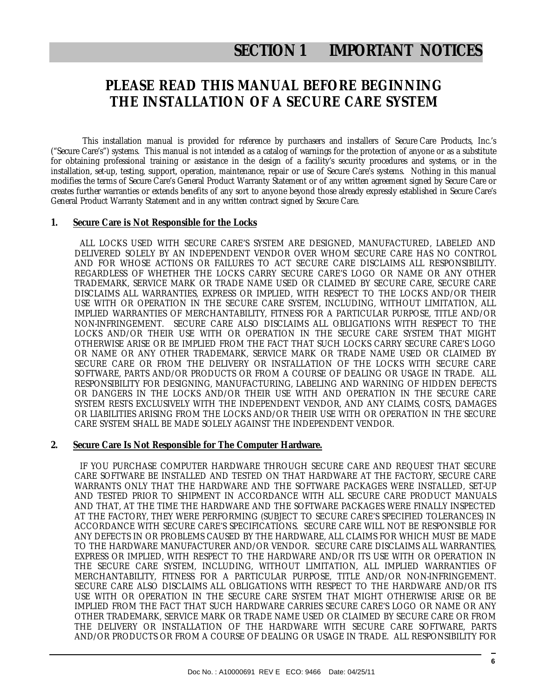# **SECTION 1 IMPORTANT NOTICES**

## **PLEASE READ THIS MANUAL BEFORE BEGINNING THE INSTALLATION OF A SECURE CARE SYSTEM**

This installation manual is provided for reference by purchasers and installers of Secure Care Products, Inc.'s ("Secure Care's") systems. This manual is not intended as a catalog of warnings for the protection of anyone or as a substitute for obtaining professional training or assistance in the design of a facility's security procedures and systems, or in the installation, set-up, testing, support, operation, maintenance, repair or use of Secure Care's systems. Nothing in this manual modifies the terms of Secure Care's General Product Warranty Statement or of any written agreement signed by Secure Care or creates further warranties or extends benefits of any sort to anyone beyond those already expressly established in Secure Care's General Product Warranty Statement and in any written contract signed by Secure Care.

#### **1. Secure Care is Not Responsible for the Locks**

 ALL LOCKS USED WITH SECURE CARE'S SYSTEM ARE DESIGNED, MANUFACTURED, LABELED AND DELIVERED SOLELY BY AN INDEPENDENT VENDOR OVER WHOM SECURE CARE HAS NO CONTROL AND FOR WHOSE ACTIONS OR FAILURES TO ACT SECURE CARE DISCLAIMS ALL RESPONSIBILITY. REGARDLESS OF WHETHER THE LOCKS CARRY SECURE CARE'S LOGO OR NAME OR ANY OTHER TRADEMARK, SERVICE MARK OR TRADE NAME USED OR CLAIMED BY SECURE CARE, SECURE CARE DISCLAIMS ALL WARRANTIES, EXPRESS OR IMPLIED, WITH RESPECT TO THE LOCKS AND/OR THEIR USE WITH OR OPERATION IN THE SECURE CARE SYSTEM, INCLUDING, WITHOUT LIMITATION, ALL IMPLIED WARRANTIES OF MERCHANTABILITY, FITNESS FOR A PARTICULAR PURPOSE, TITLE AND/OR NON-INFRINGEMENT. SECURE CARE ALSO DISCLAIMS ALL OBLIGATIONS WITH RESPECT TO THE LOCKS AND/OR THEIR USE WITH OR OPERATION IN THE SECURE CARE SYSTEM THAT MIGHT OTHERWISE ARISE OR BE IMPLIED FROM THE FACT THAT SUCH LOCKS CARRY SECURE CARE'S LOGO OR NAME OR ANY OTHER TRADEMARK, SERVICE MARK OR TRADE NAME USED OR CLAIMED BY SECURE CARE OR FROM THE DELIVERY OR INSTALLATION OF THE LOCKS WITH SECURE CARE SOFTWARE, PARTS AND/OR PRODUCTS OR FROM A COURSE OF DEALING OR USAGE IN TRADE. ALL RESPONSIBILITY FOR DESIGNING, MANUFACTURING, LABELING AND WARNING OF HIDDEN DEFECTS OR DANGERS IN THE LOCKS AND/OR THEIR USE WITH AND OPERATION IN THE SECURE CARE SYSTEM RESTS EXCLUSIVELY WITH THE INDEPENDENT VENDOR, AND ANY CLAIMS, COSTS, DAMAGES OR LIABILITIES ARISING FROM THE LOCKS AND/OR THEIR USE WITH OR OPERATION IN THE SECURE CARE SYSTEM SHALL BE MADE SOLELY AGAINST THE INDEPENDENT VENDOR.

#### **2. Secure Care Is Not Responsible for The Computer Hardware.**

 IF YOU PURCHASE COMPUTER HARDWARE THROUGH SECURE CARE AND REQUEST THAT SECURE CARE SOFTWARE BE INSTALLED AND TESTED ON THAT HARDWARE AT THE FACTORY, SECURE CARE WARRANTS ONLY THAT THE HARDWARE AND THE SOFTWARE PACKAGES WERE INSTALLED, SET-UP AND TESTED PRIOR TO SHIPMENT IN ACCORDANCE WITH ALL SECURE CARE PRODUCT MANUALS AND THAT, AT THE TIME THE HARDWARE AND THE SOFTWARE PACKAGES WERE FINALLY INSPECTED AT THE FACTORY, THEY WERE PERFORMING (SUBJECT TO SECURE CARE'S SPECIFIED TOLERANCES) IN ACCORDANCE WITH SECURE CARE'S SPECIFICATIONS. SECURE CARE WILL NOT BE RESPONSIBLE FOR ANY DEFECTS IN OR PROBLEMS CAUSED BY THE HARDWARE, ALL CLAIMS FOR WHICH MUST BE MADE TO THE HARDWARE MANUFACTURER AND/OR VENDOR. SECURE CARE DISCLAIMS ALL WARRANTIES, EXPRESS OR IMPLIED, WITH RESPECT TO THE HARDWARE AND/OR ITS USE WITH OR OPERATION IN THE SECURE CARE SYSTEM, INCLUDING, WITHOUT LIMITATION, ALL IMPLIED WARRANTIES OF MERCHANTABILITY, FITNESS FOR A PARTICULAR PURPOSE, TITLE AND/OR NON-INFRINGEMENT. SECURE CARE ALSO DISCLAIMS ALL OBLIGATIONS WITH RESPECT TO THE HARDWARE AND/OR ITS USE WITH OR OPERATION IN THE SECURE CARE SYSTEM THAT MIGHT OTHERWISE ARISE OR BE IMPLIED FROM THE FACT THAT SUCH HARDWARE CARRIES SECURE CARE'S LOGO OR NAME OR ANY OTHER TRADEMARK, SERVICE MARK OR TRADE NAME USED OR CLAIMED BY SECURE CARE OR FROM THE DELIVERY OR INSTALLATION OF THE HARDWARE WITH SECURE CARE SOFTWARE, PARTS AND/OR PRODUCTS OR FROM A COURSE OF DEALING OR USAGE IN TRADE. ALL RESPONSIBILITY FOR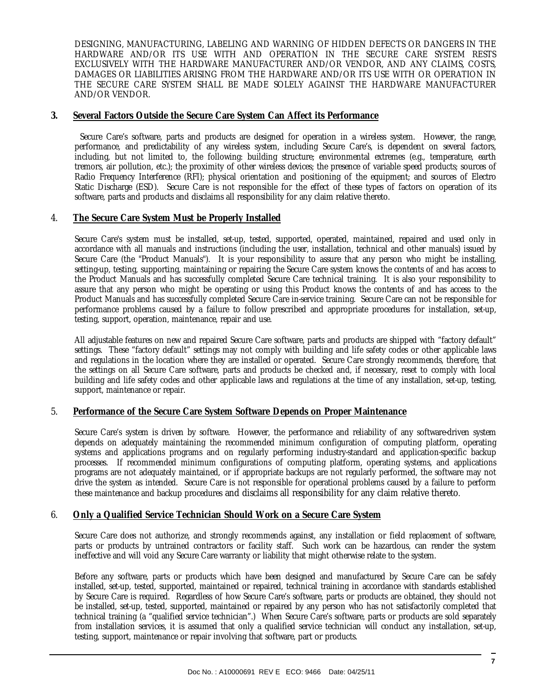DESIGNING, MANUFACTURING, LABELING AND WARNING OF HIDDEN DEFECTS OR DANGERS IN THE HARDWARE AND/OR ITS USE WITH AND OPERATION IN THE SECURE CARE SYSTEM RESTS EXCLUSIVELY WITH THE HARDWARE MANUFACTURER AND/OR VENDOR, AND ANY CLAIMS, COSTS, DAMAGES OR LIABILITIES ARISING FROM THE HARDWARE AND/OR ITS USE WITH OR OPERATION IN THE SECURE CARE SYSTEM SHALL BE MADE SOLELY AGAINST THE HARDWARE MANUFACTURER AND/OR VENDOR.

#### **3. Several Factors Outside the Secure Care System Can Affect its Performance**

 Secure Care's software, parts and products are designed for operation in a wireless system. However, the range, performance, and predictability of any wireless system, including Secure Care's, is dependent on several factors, including, but not limited to, the following: building structure; environmental extremes (e.g., temperature, earth tremors, air pollution, etc.); the proximity of other wireless devices; the presence of variable speed products; sources of Radio Frequency Interference (RFI); physical orientation and positioning of the equipment; and sources of Electro Static Discharge (ESD). Secure Care is not responsible for the effect of these types of factors on operation of its software, parts and products and disclaims all responsibility for any claim relative thereto.

#### 4. **The Secure Care System Must be Properly Installed**

Secure Care's system must be installed, set-up, tested, supported, operated, maintained, repaired and used only in accordance with all manuals and instructions (including the user, installation, technical and other manuals) issued by Secure Care (the "Product Manuals"). It is your responsibility to assure that any person who might be installing, setting-up, testing, supporting, maintaining or repairing the Secure Care system knows the contents of and has access to the Product Manuals and has successfully completed Secure Care technical training. It is also your responsibility to assure that any person who might be operating or using this Product knows the contents of and has access to the Product Manuals and has successfully completed Secure Care in-service training. Secure Care can not be responsible for performance problems caused by a failure to follow prescribed and appropriate procedures for installation, set-up, testing, support, operation, maintenance, repair and use.

All adjustable features on new and repaired Secure Care software, parts and products are shipped with "factory default" settings. These "factory default" settings may not comply with building and life safety codes or other applicable laws and regulations in the location where they are installed or operated. Secure Care strongly recommends, therefore, that the settings on all Secure Care software, parts and products be checked and, if necessary, reset to comply with local building and life safety codes and other applicable laws and regulations at the time of any installation, set-up, testing, support, maintenance or repair.

#### 5. **Performance of the Secure Care System Software Depends on Proper Maintenance**

Secure Care's system is driven by software. However, the performance and reliability of any software-driven system depends on adequately maintaining the recommended minimum configuration of computing platform, operating systems and applications programs and on regularly performing industry-standard and application-specific backup processes. If recommended minimum configurations of computing platform, operating systems, and applications programs are not adequately maintained, or if appropriate backups are not regularly performed, the software may not drive the system as intended. Secure Care is not responsible for operational problems caused by a failure to perform these maintenance and backup procedures and disclaims all responsibility for any claim relative thereto.

#### 6. **Only a Qualified Service Technician Should Work on a Secure Care System**

Secure Care does not authorize, and strongly recommends against, any installation or field replacement of software, parts or products by untrained contractors or facility staff. Such work can be hazardous, can render the system ineffective and will void any Secure Care warranty or liability that might otherwise relate to the system.

Before any software, parts or products which have been designed and manufactured by Secure Care can be safely installed, set-up, tested, supported, maintained or repaired, technical training in accordance with standards established by Secure Care is required. Regardless of how Secure Care's software, parts or products are obtained, they should not be installed, set-up, tested, supported, maintained or repaired by any person who has not satisfactorily completed that technical training (a "qualified service technician".) When Secure Care's software, parts or products are sold separately from installation services, it is assumed that only a qualified service technician will conduct any installation, set-up, testing, support, maintenance or repair involving that software, part or products.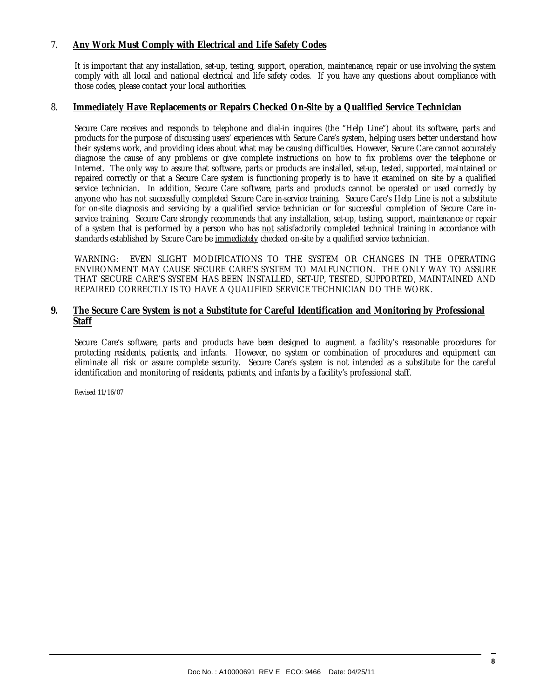#### 7. **Any Work Must Comply with Electrical and Life Safety Codes**

It is important that any installation, set-up, testing, support, operation, maintenance, repair or use involving the system comply with all local and national electrical and life safety codes. If you have any questions about compliance with those codes, please contact your local authorities.

#### 8. **Immediately Have Replacements or Repairs Checked On-Site by a Qualified Service Technician**

Secure Care receives and responds to telephone and dial-in inquires (the "Help Line") about its software, parts and products for the purpose of discussing users' experiences with Secure Care's system, helping users better understand how their systems work, and providing ideas about what may be causing difficulties. However, Secure Care cannot accurately diagnose the cause of any problems or give complete instructions on how to fix problems over the telephone or Internet. The only way to assure that software, parts or products are installed, set-up, tested, supported, maintained or repaired correctly or that a Secure Care system is functioning properly is to have it examined on site by a qualified service technician. In addition, Secure Care software, parts and products cannot be operated or used correctly by anyone who has not successfully completed Secure Care in-service training. Secure Care's Help Line is not a substitute for on-site diagnosis and servicing by a qualified service technician or for successful completion of Secure Care inservice training. Secure Care strongly recommends that any installation, set-up, testing, support, maintenance or repair of a system that is performed by a person who has not satisfactorily completed technical training in accordance with standards established by Secure Care be immediately checked on-site by a qualified service technician.

WARNING: EVEN SLIGHT MODIFICATIONS TO THE SYSTEM OR CHANGES IN THE OPERATING ENVIRONMENT MAY CAUSE SECURE CARE'S SYSTEM TO MALFUNCTION. THE ONLY WAY TO ASSURE THAT SECURE CARE'S SYSTEM HAS BEEN INSTALLED, SET-UP, TESTED, SUPPORTED, MAINTAINED AND REPAIRED CORRECTLY IS TO HAVE A QUALIFIED SERVICE TECHNICIAN DO THE WORK.

#### **9. The Secure Care System is not a Substitute for Careful Identification and Monitoring by Professional Staff**

Secure Care's software, parts and products have been designed to augment a facility's reasonable procedures for protecting residents, patients, and infants. However, no system or combination of procedures and equipment can eliminate all risk or assure complete security. Secure Care's system is not intended as a substitute for the careful identification and monitoring of residents, patients, and infants by a facility's professional staff.

Revised 11/16/07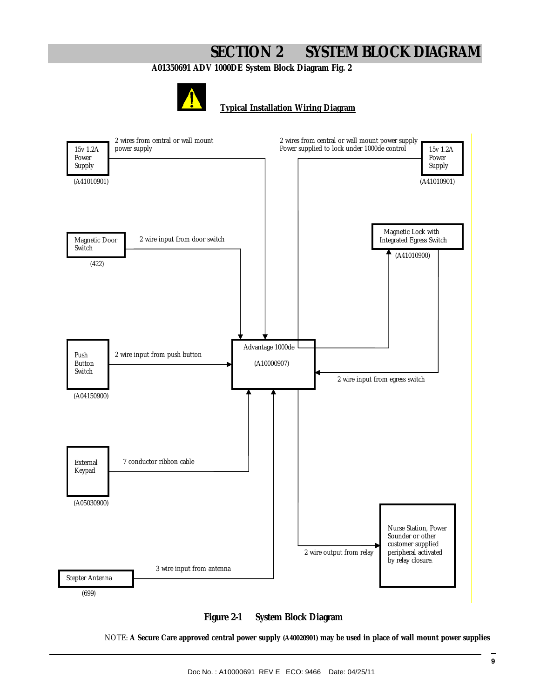# **SECTION 2 SYSTEM BLOCK DIAGRAM**

**A01350691 ADV 1000DE System Block Diagram Fig. 2** 



**Typical Installation Wiring Diagram**





NOTE: **A Secure Care approved central power supply (A40020901) may be used in place of wall mount power supplies**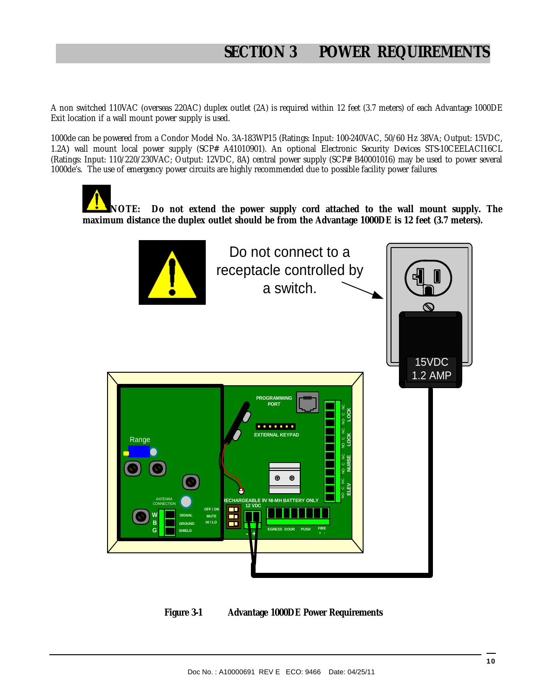A non switched 110VAC (overseas 220AC) duplex outlet (2A) is required within 12 feet (3.7 meters) of each Advantage 1000DE Exit location if a wall mount power supply is used.

1000de can be powered from a Condor Model No. 3A-183WP15 (Ratings: Input: 100-240VAC, 50/60 Hz 38VA; Output: 15VDC, 1.2A) wall mount local power supply (SCP# A41010901). An optional Electronic Security Devices STS-10CEELACI16CL (Ratings: Input: 110/220/230VAC; Output: 12VDC, 8A) central power supply (SCP# B40001016) may be used to power several 1000de's. The use of emergency power circuits are highly recommended due to possible facility power failures

**NOTE: Do not extend the power supply cord attached to the wall mount supply. The maximum distance the duplex outlet should be from the Advantage 1000DE is 12 feet (3.7 meters).** 



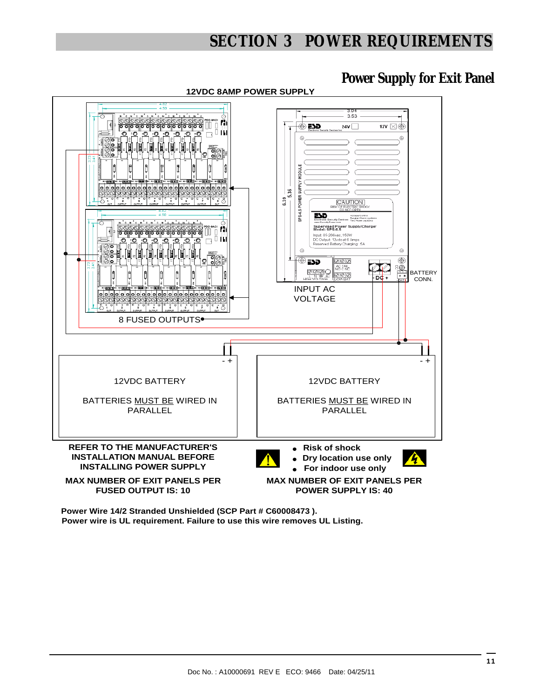# **SECTION 3 POWER REQUIREMENTS**

## **Power Supply for Exit Panel**



**12VDC 8AMP POWER SUPPLY**

**Power wire is UL requirement. Failure to use this wire removes UL Listing. Power Wire 14/2 Stranded Unshielded (SCP Part # C60008473 ).**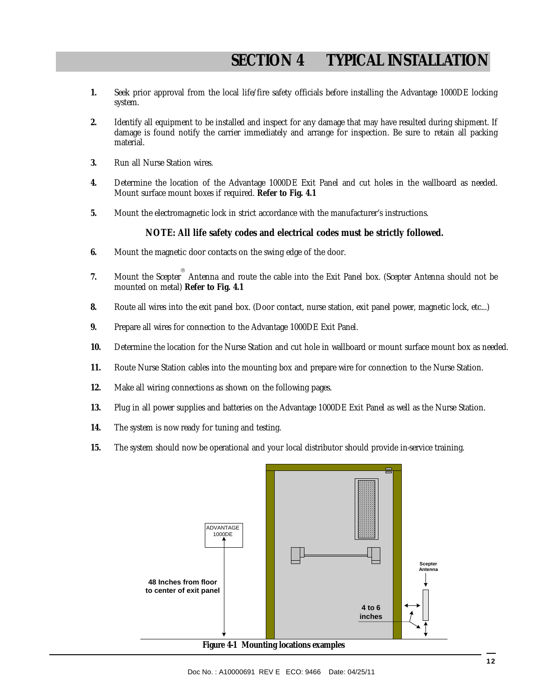- **1.** Seek prior approval from the local life/fire safety officials before installing the Advantage 1000DE locking system.
- **2.** Identify all equipment to be installed and inspect for any damage that may have resulted during shipment. If damage is found notify the carrier immediately and arrange for inspection. Be sure to retain all packing material.
- **3.** Run all Nurse Station wires.
- **4.** Determine the location of the Advantage 1000DE Exit Panel and cut holes in the wallboard as needed. Mount surface mount boxes if required. **Refer to Fig. 4.1**
- **5.** Mount the electromagnetic lock in strict accordance with the manufacturer's instructions.

#### **NOTE: All life safety codes and electrical codes must be strictly followed.**

- **6.** Mount the magnetic door contacts on the swing edge of the door.
- **7.** Mount the Scepter ® Antenna and route the cable into the Exit Panel box. (Scepter Antenna should not be mounted on metal) **Refer to Fig. 4.1**
- **8.** Route all wires into the exit panel box. (Door contact, nurse station, exit panel power, magnetic lock, etc...)
- **9.** Prepare all wires for connection to the Advantage 1000DE Exit Panel.
- **10.** Determine the location for the Nurse Station and cut hole in wallboard or mount surface mount box as needed.
- **11.** Route Nurse Station cables into the mounting box and prepare wire for connection to the Nurse Station.
- **12.** Make all wiring connections as shown on the following pages.
- **13.** Plug in all power supplies and batteries on the Advantage 1000DE Exit Panel as well as the Nurse Station.
- **14.** The system is now ready for tuning and testing.
- **15.** The system should now be operational and your local distributor should provide in-service training.

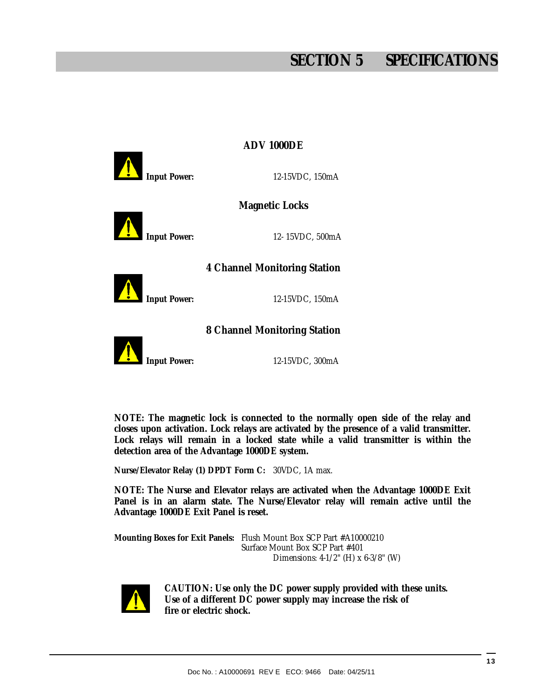# **SECTION 5 SPECIFICATIONS**

| <b>ADV 1000DE</b>   |                              |  |
|---------------------|------------------------------|--|
| Input Power:        | 12-15VDC, 150mA              |  |
|                     | <b>Magnetic Locks</b>        |  |
|                     |                              |  |
| Input Power:        | 12-15VDC, 500mA              |  |
|                     | 4 Channel Monitoring Station |  |
|                     |                              |  |
| <b>Input Power:</b> | 12-15VDC, 150mA              |  |
|                     | 8 Channel Monitoring Station |  |
|                     |                              |  |
| <b>Input Power:</b> | 12-15VDC, 300mA              |  |
|                     |                              |  |

**NOTE: The magnetic lock is connected to the normally open side of the relay and closes upon activation. Lock relays are activated by the presence of a valid transmitter. Lock relays will remain in a locked state while a valid transmitter is within the detection area of the Advantage 1000DE system.** 

**Nurse/Elevator Relay (1) DPDT Form C:** 30VDC, 1A max.

**NOTE: The Nurse and Elevator relays are activated when the Advantage 1000DE Exit Panel is in an alarm state. The Nurse/Elevator relay will remain active until the Advantage 1000DE Exit Panel is reset.** 

**Mounting Boxes for Exit Panels:** Flush Mount Box SCP Part #A10000210 Surface Mount Box SCP Part #401 Dimensions: 4-1/2" (H) x 6-3/8" (W)



 **CAUTION: Use only the DC power supply provided with these units. Use of a different DC power supply may increase the risk of fire or electric shock.**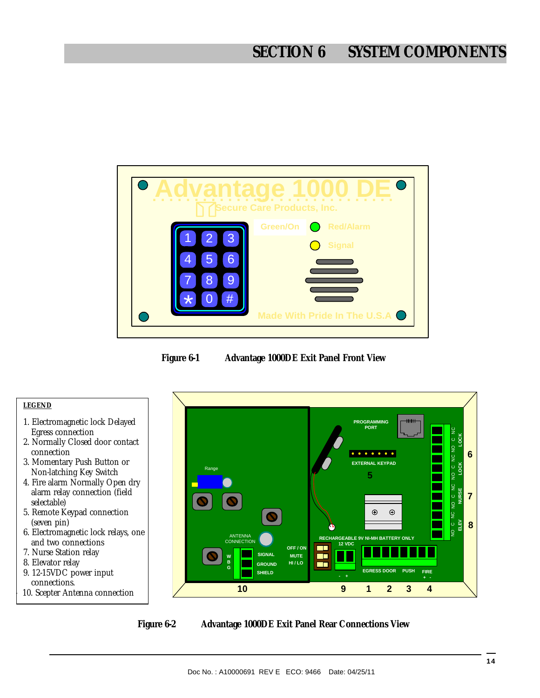# **SECTION 6 SYSTEM COMPONENTS**







**Figure 6-2 Advantage 1000DE Exit Panel Rear Connections View**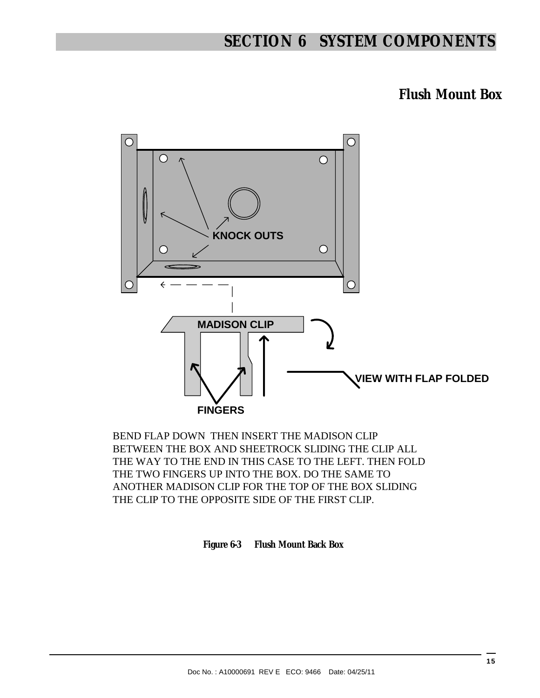# **SECTION 6 SYSTEM COMPONENTS**

**Flush Mount Box** 



BEND FLAP DOWN THEN INSERT THE MADISON CLIP BETWEEN THE BOX AND SHEETROCK SLIDING THE CLIP ALL THE WAY TO THE END IN THIS CASE TO THE LEFT. THEN FOLD THE TWO FINGERS UP INTO THE BOX. DO THE SAME TO ANOTHER MADISON CLIP FOR THE TOP OF THE BOX SLIDING THE CLIP TO THE OPPOSITE SIDE OF THE FIRST CLIP.

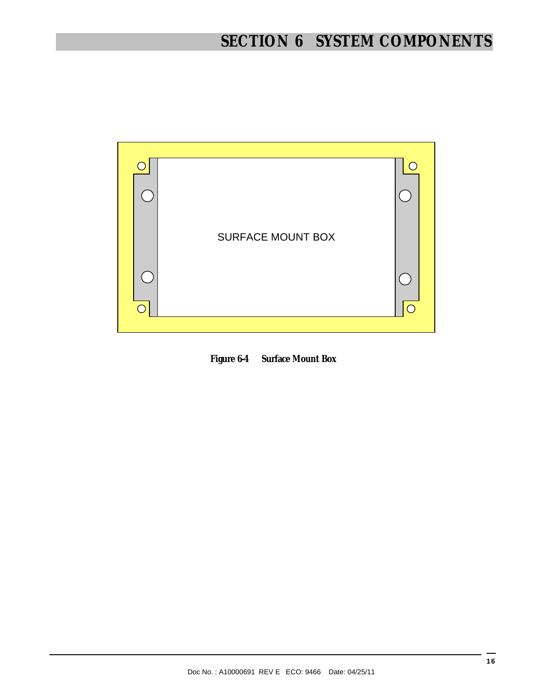

**Figure 6-4 Surface Mount Box**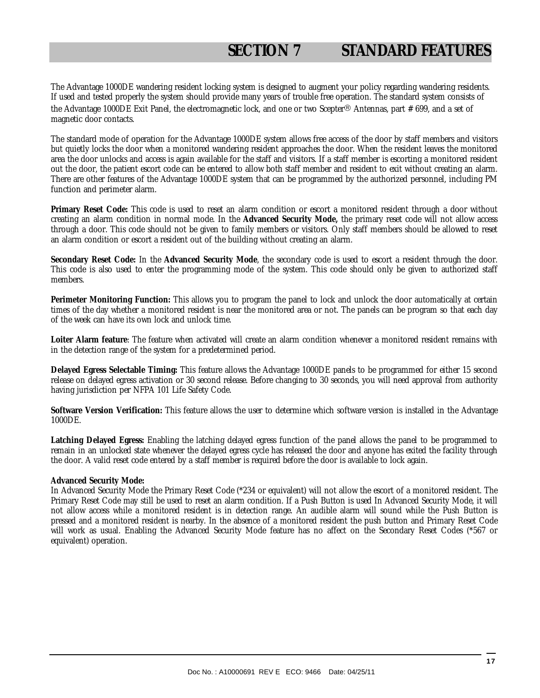The Advantage 1000DE wandering resident locking system is designed to augment your policy regarding wandering residents. If used and tested properly the system should provide many years of trouble free operation. The standard system consists of the Advantage 1000DE Exit Panel, the electromagnetic lock, and one or two Scepter® Antennas, part # 699, and a set of magnetic door contacts.

The standard mode of operation for the Advantage 1000DE system allows free access of the door by staff members and visitors but quietly locks the door when a monitored wandering resident approaches the door. When the resident leaves the monitored area the door unlocks and access is again available for the staff and visitors. If a staff member is escorting a monitored resident out the door, the patient escort code can be entered to allow both staff member and resident to exit without creating an alarm. There are other features of the Advantage 1000DE system that can be programmed by the authorized personnel, including PM function and perimeter alarm.

**Primary Reset Code:** This code is used to reset an alarm condition or escort a monitored resident through a door without creating an alarm condition in normal mode. In the **Advanced Security Mode,** the primary reset code will not allow access through a door. This code should not be given to family members or visitors. Only staff members should be allowed to reset an alarm condition or escort a resident out of the building without creating an alarm.

**Secondary Reset Code:** In the **Advanced Security Mode**, the secondary code is used to escort a resident through the door. This code is also used to enter the programming mode of the system. This code should only be given to authorized staff members.

**Perimeter Monitoring Function:** This allows you to program the panel to lock and unlock the door automatically at certain times of the day whether a monitored resident is near the monitored area or not. The panels can be program so that each day of the week can have its own lock and unlock time.

**Loiter Alarm feature**: The feature when activated will create an alarm condition whenever a monitored resident remains with in the detection range of the system for a predetermined period.

**Delayed Egress Selectable Timing:** This feature allows the Advantage 1000DE panels to be programmed for either 15 second release on delayed egress activation or 30 second release. Before changing to 30 seconds, you will need approval from authority having jurisdiction per NFPA 101 Life Safety Code.

**Software Version Verification:** This feature allows the user to determine which software version is installed in the Advantage 1000DE.

**Latching Delayed Egress:** Enabling the latching delayed egress function of the panel allows the panel to be programmed to remain in an unlocked state whenever the delayed egress cycle has released the door and anyone has exited the facility through the door. A valid reset code entered by a staff member is required before the door is available to lock again.

#### **Advanced Security Mode:**

In Advanced Security Mode the Primary Reset Code (\*234 or equivalent) will not allow the escort of a monitored resident. The Primary Reset Code may still be used to reset an alarm condition. If a Push Button is used In Advanced Security Mode, it will not allow access while a monitored resident is in detection range. An audible alarm will sound while the Push Button is pressed and a monitored resident is nearby. In the absence of a monitored resident the push button and Primary Reset Code will work as usual. Enabling the Advanced Security Mode feature has no affect on the Secondary Reset Codes (\*567 or equivalent) operation.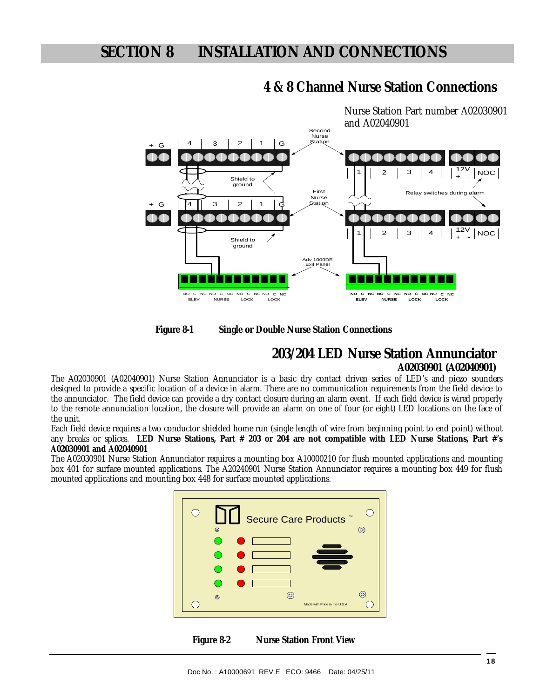

## **4 & 8 Channel Nurse Station Connections**

**Figure 8-1 Single or Double Nurse Station Connections** 

# **203/204 LED Nurse Station Annunciator**

#### **A02030901 (A02040901)**

The A02030901 (A02040901) Nurse Station Annunciator is a basic dry contact driven series of LED's and piezo sounders designed to provide a specific location of a device in alarm. There are no communication requirements from the field device to the annunciator. The field device can provide a dry contact closure during an alarm event. If each field device is wired properly to the remote annunciation location, the closure will provide an alarm on one of four (or eight) LED locations on the face of the unit.

Each field device requires a two conductor shielded home run (single length of wire from beginning point to end point) without any breaks or splices. **LED Nurse Stations, Part # 203 or 204 are not compatible with LED Nurse Stations, Part #'s A02030901 and A02040901** 

The A02030901 Nurse Station Annunciator requires a mounting box A10000210 for flush mounted applications and mounting box 401 for surface mounted applications. The A20240901 Nurse Station Annunciator requires a mounting box 449 for flush mounted applications and mounting box 448 for surface mounted applications.



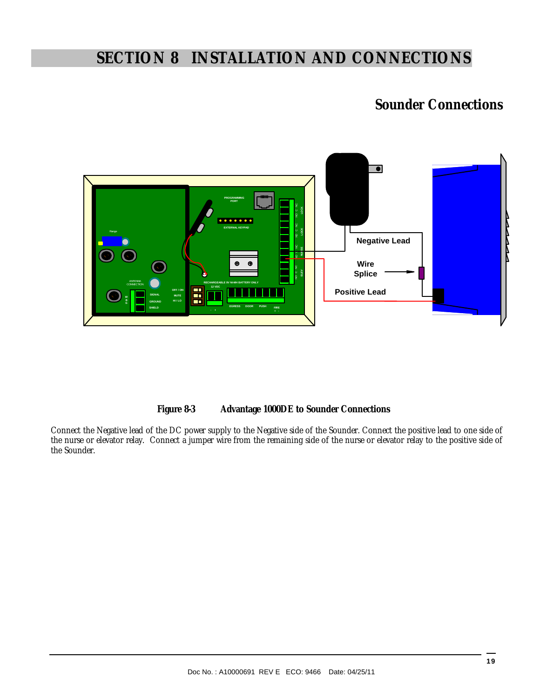## **Sounder Connections**



**Figure 8-3 Advantage 1000DE to Sounder Connections** 

Connect the Negative lead of the DC power supply to the Negative side of the Sounder. Connect the positive lead to one side of the nurse or elevator relay. Connect a jumper wire from the remaining side of the nurse or elevator relay to the positive side of the Sounder.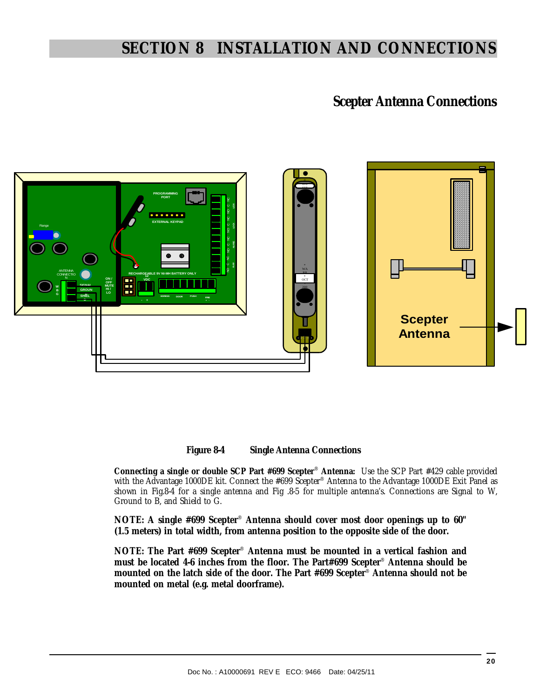## **Scepter Antenna Connections**





**Connecting a single or double SCP Part #699 Scepter**® **Antenna:** Use the SCP Part #429 cable provided with the Advantage 1000DE kit. Connect the #699 Scepter® Antenna to the Advantage 1000DE Exit Panel as shown in Fig.8-4 for a single antenna and Fig .8-5 for multiple antenna's. Connections are Signal to W, Ground to B, and Shield to G.

**NOTE: A single #699 Scepter**® **Antenna should cover most door openings up to 60" (1.5 meters) in total width, from antenna position to the opposite side of the door.** 

**NOTE: The Part #699 Scepter**® **Antenna must be mounted in a vertical fashion and must be located 4-6 inches from the floor. The Part#699 Scepter**® **Antenna should be mounted on the latch side of the door. The Part #699 Scepter**® **Antenna should not be mounted on metal (e.g. metal doorframe).**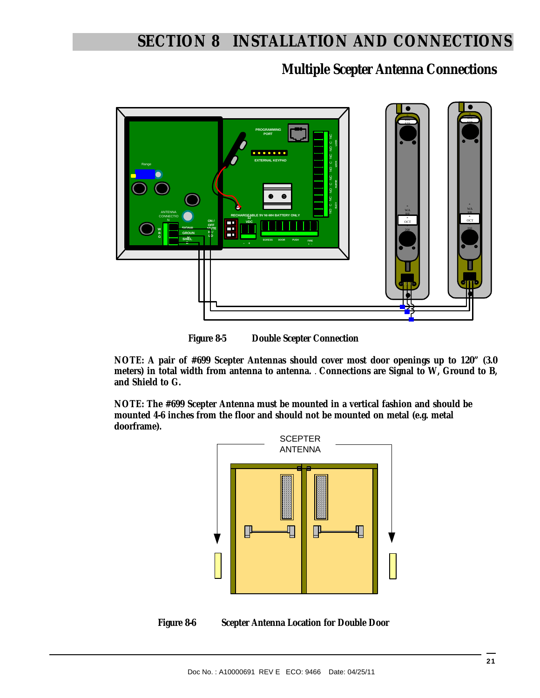**Multiple Scepter Antenna Connections** 





**NOTE: A pair of #699 Scepter Antennas should cover most door openings up to 120" (3.0 meters) in total width from antenna to antenna.** . **Connections are Signal to W, Ground to B, and Shield to G.** 

**NOTE: The #699 Scepter Antenna must be mounted in a vertical fashion and should be mounted 4-6 inches from the floor and should not be mounted on metal (e.g. metal doorframe).**



**Figure 8-6 Scepter Antenna Location for Double Door**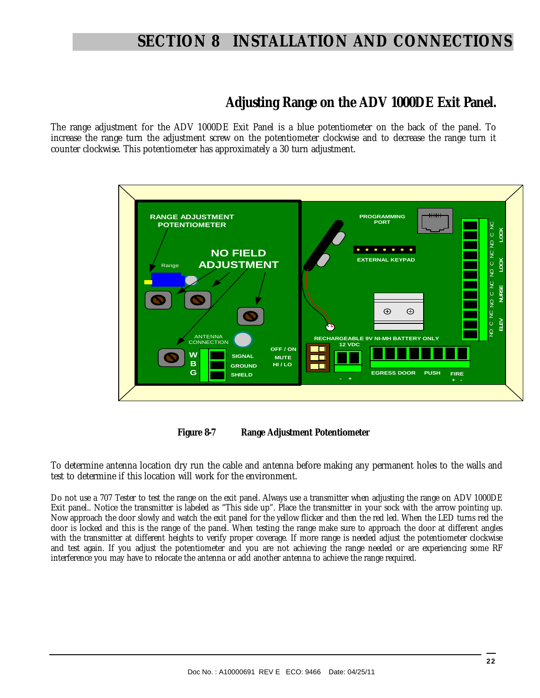## **Adjusting Range on the ADV 1000DE Exit Panel.**

The range adjustment for the ADV 1000DE Exit Panel is a blue potentiometer on the back of the panel. To increase the range turn the adjustment screw on the potentiometer clockwise and to decrease the range turn it counter clockwise. This potentiometer has approximately a 30 turn adjustment.



**Figure 8-7 Range Adjustment Potentiometer** 

To determine antenna location dry run the cable and antenna before making any permanent holes to the walls and test to determine if this location will work for the environment.

Do not use a 707 Tester to test the range on the exit panel. Always use a transmitter when adjusting the range on ADV 1000DE Exit panel.. Notice the transmitter is labeled as "This side up". Place the transmitter in your sock with the arrow pointing up. Now approach the door slowly and watch the exit panel for the yellow flicker and then the red led. When the LED turns red the door is locked and this is the range of the panel. When testing the range make sure to approach the door at different angles with the transmitter at different heights to verify proper coverage. If more range is needed adjust the potentiometer clockwise and test again. If you adjust the potentiometer and you are not achieving the range needed or are experiencing some RF interference you may have to relocate the antenna or add another antenna to achieve the range required.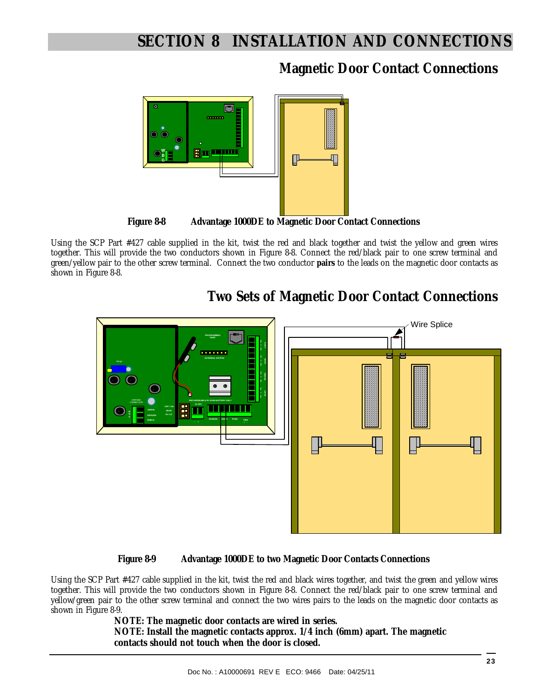**Magnetic Door Contact Connections** 



Using the SCP Part #427 cable supplied in the kit, twist the red and black together and twist the yellow and green wires together. This will provide the two conductors shown in Figure 8-8. Connect the red/black pair to one screw terminal and green/yellow pair to the other screw terminal. Connect the two conductor **pairs** to the leads on the magnetic door contacts as shown in Figure 8-8.



## **Two Sets of Magnetic Door Contact Connections**

#### **Figure 8-9 Advantage 1000DE to two Magnetic Door Contacts Connections**

Using the SCP Part #427 cable supplied in the kit, twist the red and black wires together, and twist the green and yellow wires together. This will provide the two conductors shown in Figure 8-8. Connect the red/black pair to one screw terminal and yellow/green pair to the other screw terminal and connect the two wires pairs to the leads on the magnetic door contacts as shown in Figure 8-9.

**NOTE: The magnetic door contacts are wired in series. NOTE: Install the magnetic contacts approx. 1/4 inch (6mm) apart. The magnetic contacts should not touch when the door is closed.**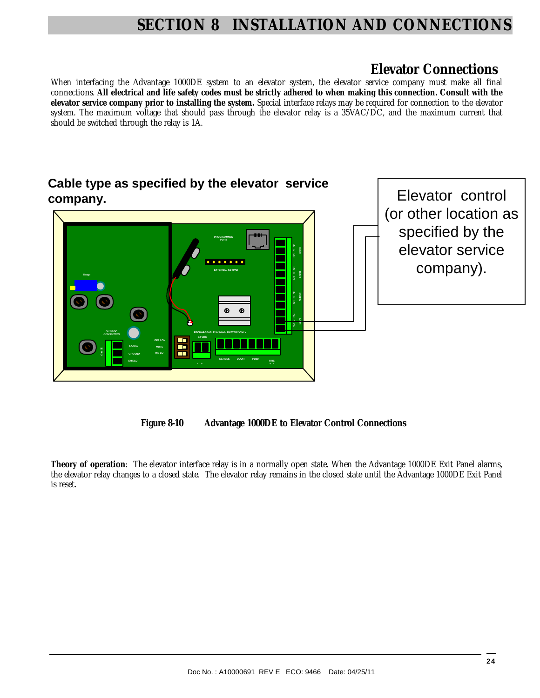## **Elevator Connections**

When interfacing the Advantage 1000DE system to an elevator system, the elevator service company must make all final connections. **All electrical and life safety codes must be strictly adhered to when making this connection. Consult with the elevator service company prior to installing the system.** Special interface relays may be required for connection to the elevator system. The maximum voltage that should pass through the elevator relay is a 35VAC/DC, and the maximum current that should be switched through the relay is 1A.





**Theory of operation**: The elevator interface relay is in a normally open state. When the Advantage 1000DE Exit Panel alarms, the elevator relay changes to a closed state. The elevator relay remains in the closed state until the Advantage 1000DE Exit Panel is reset.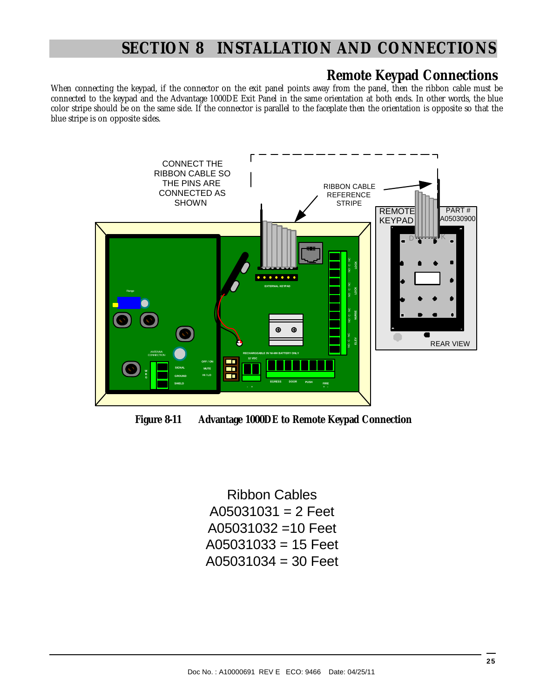## **Remote Keypad Connections**

When connecting the keypad, if the connector on the exit panel points away from the panel, then the ribbon cable must be connected to the keypad and the Advantage 1000DE Exit Panel in the same orientation at both ends. In other words, the blue color stripe should be on the same side. If the connector is parallel to the faceplate then the orientation is opposite so that the blue stripe is on opposite sides.



**Figure 8-11 Advantage 1000DE to Remote Keypad Connection** 

Ribbon Cables  $A05031031 = 2$  Feet A05031032 =10 Feet  $A05031033 = 15$  Feet  $A05031034 = 30$  Feet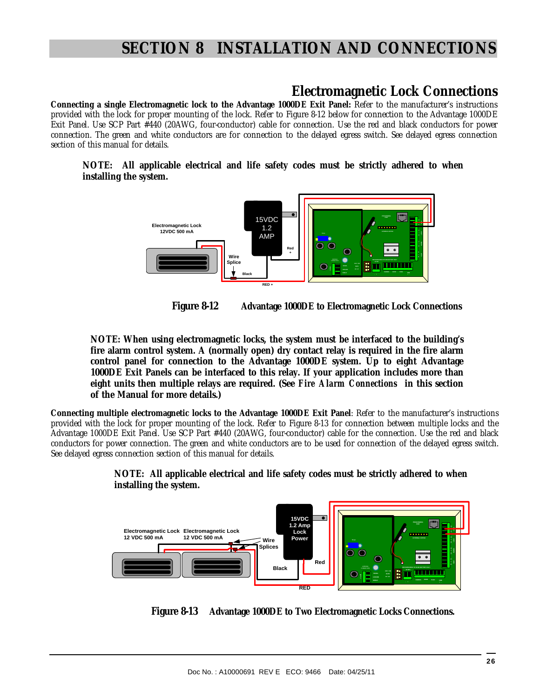## **Electromagnetic Lock Connections**

**Connecting a single Electromagnetic lock to the Advantage 1000DE Exit Panel:** Refer to the manufacturer's instructions provided with the lock for proper mounting of the lock. Refer to Figure 8-12 below for connection to the Advantage 1000DE Exit Panel. Use SCP Part #440 (20AWG, four-conductor) cable for connection. Use the red and black conductors for power connection. The green and white conductors are for connection to the delayed egress switch. See delayed egress connection section of this manual for details.

**NOTE: All applicable electrical and life safety codes must be strictly adhered to when installing the system.** 



 **Figure 8-12 Advantage 1000DE to Electromagnetic Lock Connections** 

**NOTE: When using electromagnetic locks, the system must be interfaced to the building's fire alarm control system. A (normally open) dry contact relay is required in the fire alarm control panel for connection to the Advantage 1000DE system. Up to eight Advantage 1000DE Exit Panels can be interfaced to this relay. If your application includes more than eight units then multiple relays are required. (See** *Fire Alarm Connections* **in this section of the Manual for more details.)** 

**Connecting multiple electromagnetic locks to the Advantage 1000DE Exit Panel**: Refer to the manufacturer's instructions provided with the lock for proper mounting of the lock. Refer to Figure 8-13 for connection between multiple locks and the Advantage 1000DE Exit Panel. Use SCP Part #440 (20AWG, four-conductor) cable for the connection. Use the red and black conductors for power connection. The green and white conductors are to be used for connection of the delayed egress switch. See delayed egress connection section of this manual for details.



**NOTE: All applicable electrical and life safety codes must be strictly adhered to when installing the system.** 

 **Figure 8-13 Advantage 1000DE to Two Electromagnetic Locks Connections.**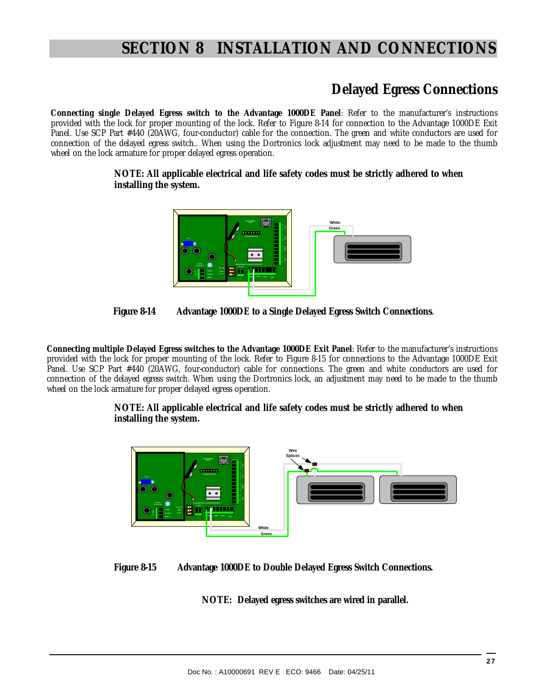## **Delayed Egress Connections**

**Connecting single Delayed Egress switch to the Advantage 1000DE Panel**: Refer to the manufacturer's instructions provided with the lock for proper mounting of the lock. Refer to Figure 8-14 for connection to the Advantage 1000DE Exit Panel. Use SCP Part #440 (20AWG, four-conductor) cable for the connection. The green and white conductors are used for connection of the delayed egress switch.. When using the Dortronics lock adjustment may need to be made to the thumb wheel on the lock armature for proper delayed egress operation.

#### **NOTE: All applicable electrical and life safety codes must be strictly adhered to when installing the system.**





**Connecting multiple Delayed Egress switches to the Advantage 1000DE Exit Panel**: Refer to the manufacturer's instructions provided with the lock for proper mounting of the lock. Refer to Figure 8-15 for connections to the Advantage 1000DE Exit Panel. Use SCP Part #440 (20AWG, four-conductor) cable for connections. The green and white conductors are used for connection of the delayed egress switch. When using the Dortronics lock, an adjustment may need to be made to the thumb wheel on the lock armature for proper delayed egress operation.

#### **NOTE: All applicable electrical and life safety codes must be strictly adhered to when installing the system.**



#### **Figure 8-15 Advantage 1000DE to Double Delayed Egress Switch Connections.**

**NOTE: Delayed egress switches are wired in parallel.**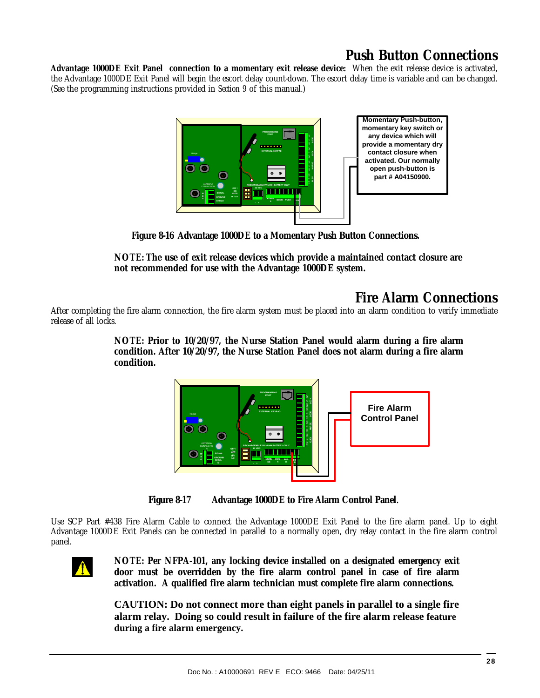## **Push Button Connections**

**Advantage 1000DE Exit Panel connection to a momentary exit release device:** When the exit release device is activated, the Advantage 1000DE Exit Panel will begin the escort delay count-down. The escort delay time is variable and can be changed. (See the programming instructions provided in *Section 9* of this manual.)



 **Figure 8-16 Advantage 1000DE to a Momentary Push Button Connections.** 

**NOTE: The use of exit release devices which provide a maintained contact closure are not recommended for use with the Advantage 1000DE system.** 

## **Fire Alarm Connections**

After completing the fire alarm connection, the fire alarm system must be placed into an alarm condition to verify immediate release of all locks.

> **NOTE: Prior to 10/20/97, the Nurse Station Panel would alarm during a fire alarm condition. After 10/20/97, the Nurse Station Panel does not alarm during a fire alarm condition.**



**Figure 8-17 Advantage 1000DE to Fire Alarm Control Panel**.

Use SCP Part #438 Fire Alarm Cable to connect the Advantage 1000DE Exit Panel to the fire alarm panel. Up to eight Advantage 1000DE Exit Panels can be connected in parallel to a normally open, dry relay contact in the fire alarm control panel.



**NOTE: Per NFPA-101, any locking device installed on a designated emergency exit door must be overridden by the fire alarm control panel in case of fire alarm activation. A qualified fire alarm technician must complete fire alarm connections.** 

**CAUTION: Do not connect more than eight panels in parallel to a single fire alarm relay. Doing so could result in failure of the fire alarm release feature during a fire alarm emergency.**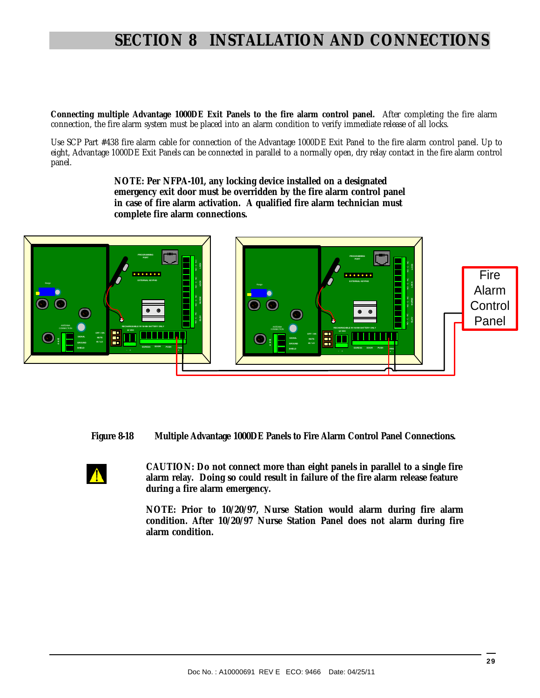**Connecting multiple Advantage 1000DE Exit Panels to the fire alarm control panel.** After completing the fire alarm connection, the fire alarm system must be placed into an alarm condition to verify immediate release of all locks.

Use SCP Part #438 fire alarm cable for connection of the Advantage 1000DE Exit Panel to the fire alarm control panel. Up to eight, Advantage 1000DE Exit Panels can be connected in parallel to a normally open, dry relay contact in the fire alarm control panel.

> **NOTE: Per NFPA-101, any locking device installed on a designated emergency exit door must be overridden by the fire alarm control panel in case of fire alarm activation. A qualified fire alarm technician must complete fire alarm connections.**



**Figure 8-18 Multiple Advantage 1000DE Panels to Fire Alarm Control Panel Connections.**

 **CAUTION: Do not connect more than eight panels in parallel to a single fire alarm relay. Doing so could result in failure of the fire alarm release feature during a fire alarm emergency.** 

**NOTE: Prior to 10/20/97, Nurse Station would alarm during fire alarm condition. After 10/20/97 Nurse Station Panel does not alarm during fire alarm condition.**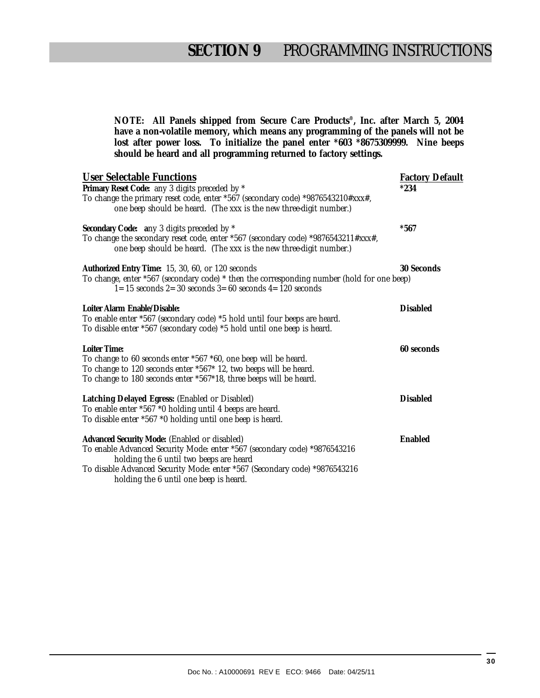**NOTE: All Panels shipped from Secure Care Products®, Inc. after March 5, 2004 have a non-volatile memory, which means any programming of the panels will not be lost after power loss. To initialize the panel enter \*603 \*8675309999. Nine beeps should be heard and all programming returned to factory settings.** 

| <b>User Selectable Functions</b><br>Primary Reset Code: any 3 digits preceded by *<br>To change the primary reset code, enter *567 (secondary code) *9876543210#xxx#,<br>one beep should be heard. (The xxx is the new three-digit number.)                                                   | <b>Factory Default</b><br>$*234$ |
|-----------------------------------------------------------------------------------------------------------------------------------------------------------------------------------------------------------------------------------------------------------------------------------------------|----------------------------------|
| Secondary Code: any 3 digits preceded by *<br>To change the secondary reset code, enter *567 (secondary code) *9876543211#xxx#,<br>one beep should be heard. (The xxx is the new three-digit number.)                                                                                         | $*567$                           |
| Authorized Entry Time: 15, 30, 60, or 120 seconds<br>To change, enter *567 (secondary code) * then the corresponding number (hold for one beep)<br>$1=15$ seconds $2=30$ seconds $3=60$ seconds $4=120$ seconds                                                                               | 30 Seconds                       |
| Loiter Alarm Enable/Disable:<br>To enable enter *567 (secondary code) *5 hold until four beeps are heard.<br>To disable enter *567 (secondary code) *5 hold until one beep is heard.                                                                                                          | <b>Disabled</b>                  |
| Loiter Time:<br>To change to 60 seconds enter *567 *60, one beep will be heard.<br>To change to 120 seconds enter *567* 12, two beeps will be heard.<br>To change to 180 seconds enter *567*18, three beeps will be heard.                                                                    | 60 seconds                       |
| Latching Delayed Egress: (Enabled or Disabled)<br>To enable enter *567 *0 holding until 4 beeps are heard.<br>To disable enter *567 *0 holding until one beep is heard.                                                                                                                       | <b>Disabled</b>                  |
| Advanced Security Mode: (Enabled or disabled)<br>To enable Advanced Security Mode: enter *567 (secondary code) *9876543216<br>holding the 6 until two beeps are heard<br>To disable Advanced Security Mode: enter *567 (Secondary code) *9876543216<br>holding the 6 until one beep is heard. | Enabled                          |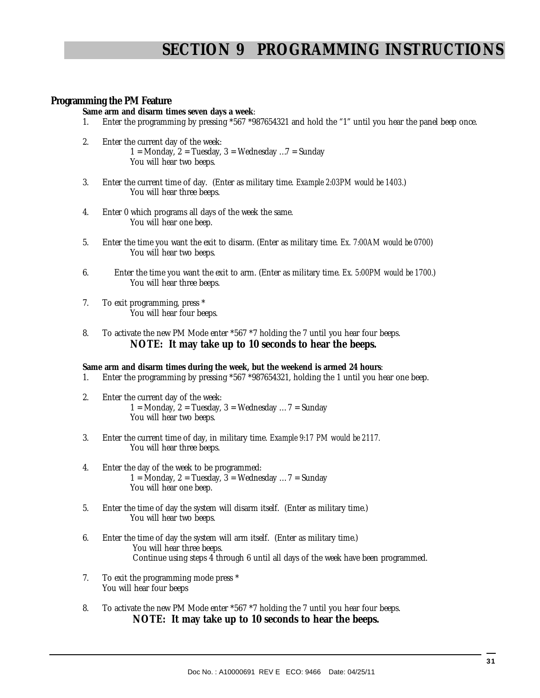# **SECTION 9 PROGRAMMING INSTRUCTIONS**

### **Programming the PM Feature**

**Same arm and disarm times seven days a week**:

- 1. Enter the programming by pressing \*567 \*987654321 and hold the "1" until you hear the panel beep once.
- 2. Enter the current day of the week: 1 = Monday, 2 = Tuesday, 3 = Wednesday ...  $7$  = Sunday
	- You will hear two beeps.
- 3. Enter the current time of day. (Enter as military time. *Example 2:03PM would be 1403.*) You will hear three beeps.
- 4. Enter 0 which programs all days of the week the same. You will hear one beep.
- 5. Enter the time you want the exit to disarm. (Enter as military time. *Ex. 7:00AM would be 0700*) You will hear two beeps.
- 6. Enter the time you want the exit to arm. (Enter as military time. *Ex. 5:00PM would be 1700.*) You will hear three beeps.
- 7. To exit programming, press \* You will hear four beeps.
- 8. To activate the new PM Mode enter \*567 \*7 holding the 7 until you hear four beeps. **NOTE: It may take up to 10 seconds to hear the beeps.**

#### **Same arm and disarm times during the week, but the weekend is armed 24 hours**:

- 1. Enter the programming by pressing \*567 \*987654321, holding the 1 until you hear one beep.
- 2. Enter the current day of the week: 1 = Monday, 2 = Tuesday, 3 = Wednesday ...  $7$  = Sunday You will hear two beeps.
- 3. Enter the current time of day, in military time. *Example 9:17 PM would be 2117.* You will hear three beeps.
- 4. Enter the day of the week to be programmed: 1 = Monday, 2 = Tuesday,  $3 =$  Wednesday ... 7 = Sunday You will hear one beep.
- 5. Enter the time of day the system will disarm itself. (Enter as military time.) You will hear two beeps.
- 6. Enter the time of day the system will arm itself. (Enter as military time.) You will hear three beeps. Continue using steps 4 through 6 until all days of the week have been programmed.
- 7. To exit the programming mode press \* You will hear four beeps
- 8. To activate the new PM Mode enter \*567 \*7 holding the 7 until you hear four beeps. **NOTE: It may take up to 10 seconds to hear the beeps.**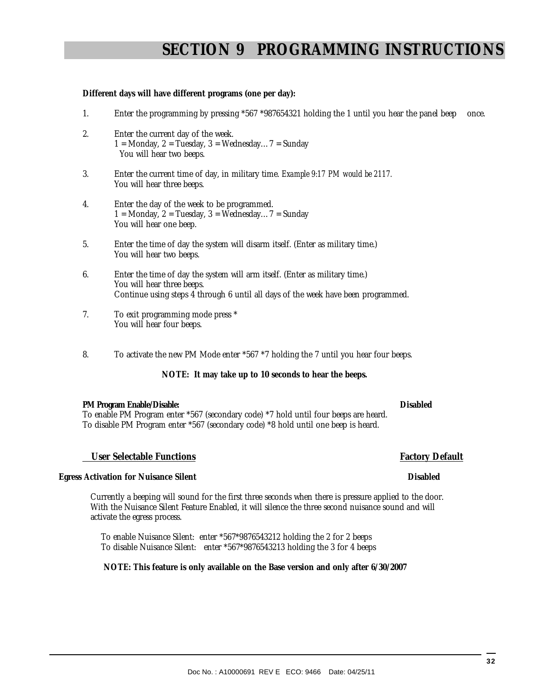## Doc No. : A10000691 REV E ECO: 9466 Date: 04/25/11

Currently a beeping will sound for the first three seconds when there is pressure applied to the door. With the Nuisance Silent Feature Enabled, it will silence the three second nuisance sound and will activate the egress process.

 **User Selectable Functions Factory Default** 

 To enable Nuisance Silent: enter \*567\*9876543212 holding the 2 for 2 beeps To disable Nuisance Silent: enter \*567\*9876543213 holding the 3 for 4 beeps

#### **NOTE: This feature is only available on the Base version and only after 6/30/2007**

 **Egress Activation for Nuisance Silent Disabled** 

#### 6. Enter the time of day the system will arm itself. (Enter as military time.) You will hear three beeps. Continue using steps 4 through 6 until all days of the week have been programmed.

- 7. To exit programming mode press \* You will hear four beeps.
- 8. To activate the new PM Mode enter \*567 \*7 holding the 7 until you hear four beeps.

## **NOTE: It may take up to 10 seconds to hear the beeps.**

### **PM Program Enable/Disable: Disabled**

To enable PM Program enter \*567 (secondary code) \*7 hold until four beeps are heard. To disable PM Program enter \*567 (secondary code) \*8 hold until one beep is heard.

# **SECTION 9 PROGRAMMING INSTRUCTIONS**

### **Different days will have different programs (one per day):**

- 1. Enter the programming by pressing \*567 \*987654321 holding the 1 until you hear the panel beep once.
- 2. Enter the current day of the week. 1 = Monday,  $2 = Tu$ esday,  $3 = W$ ednesday...  $7 = S$ unday You will hear two beeps.
- 3. Enter the current time of day, in military time. *Example 9:17 PM would be 2117.* You will hear three beeps.
- 4. Enter the day of the week to be programmed. 1 = Monday, 2 = Tuesday, 3 = Wednesday...  $7$  = Sunday You will hear one beep.
- 5. Enter the time of day the system will disarm itself. (Enter as military time.) You will hear two beeps.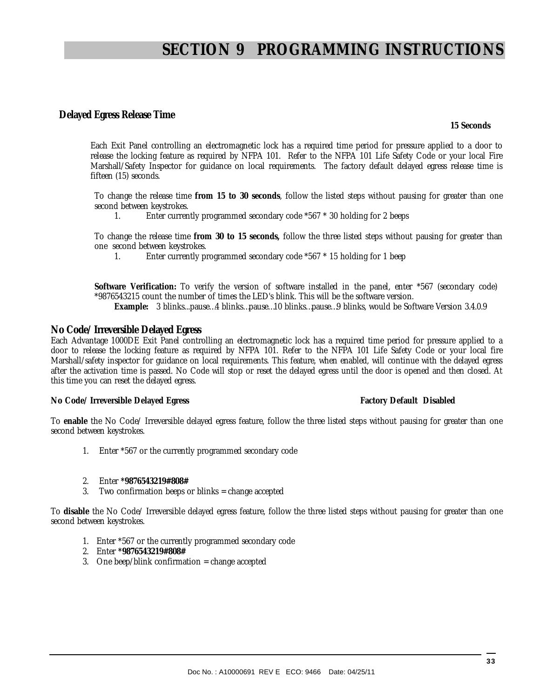# **SECTION 9 PROGRAMMING INSTRUCTIONS**

#### **Delayed Egress Release Time**

 **15 Seconds** 

Each Exit Panel controlling an electromagnetic lock has a required time period for pressure applied to a door to release the locking feature as required by NFPA 101. Refer to the NFPA 101 Life Safety Code or your local Fire Marshall/Safety Inspector for guidance on local requirements. The factory default delayed egress release time is fifteen (15) seconds.

To change the release time **from 15 to 30 seconds**, follow the listed steps without pausing for greater than one second between keystrokes.

1. Enter currently programmed secondary code \*567 \* 30 holding for 2 beeps

To change the release time **from 30 to 15 seconds,** follow the three listed steps without pausing for greater than one second between keystrokes.<br>1 Foter currently by

1. Enter currently programmed secondary code \*567 \* 15 holding for 1 beep

**Software Verification:** To verify the version of software installed in the panel, enter \*567 (secondary code) \*9876543215 count the number of times the LED's blink. This will be the software version.

**Example:** 3 blinks...pause…4 blinks…pause…10 blinks…pause…9 blinks, would be Software Version 3.4.0.9

#### **No Code/ Irreversible Delayed Egress**

Each Advantage 1000DE Exit Panel controlling an electromagnetic lock has a required time period for pressure applied to a door to release the locking feature as required by NFPA 101. Refer to the NFPA 101 Life Safety Code or your local fire Marshall/safety inspector for guidance on local requirements. This feature, when enabled, will continue with the delayed egress after the activation time is passed. No Code will stop or reset the delayed egress until the door is opened and then closed. At this time you can reset the delayed egress.

#### **No Code/ Irreversible Delayed Egress Factory Default Disabled in the Series of Australian Code/ Irreversible Delayed Egress**

To **enable** the No Code/ Irreversible delayed egress feature, follow the three listed steps without pausing for greater than one second between keystrokes.

- 1. Enter \*567 or the currently programmed secondary code
- 2. Enter **\*9876543219#808#**
- 3. Two confirmation beeps or blinks = change accepted

To **disable** the No Code/ Irreversible delayed egress feature, follow the three listed steps without pausing for greater than one second between keystrokes.

- 1. Enter \*567 or the currently programmed secondary code
- 2. Enter **\*9876543219#808#**
- 3. One beep/blink confirmation = change accepted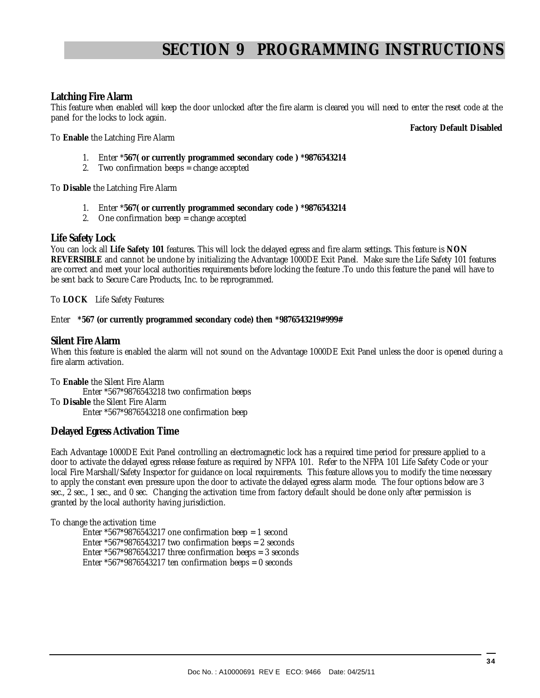# **SECTION 9 PROGRAMMING INSTRUCTIONS**

#### **Latching Fire Alarm**

This feature when enabled will keep the door unlocked after the fire alarm is cleared you will need to enter the reset code at the panel for the locks to lock again.

**Factory Default Disabled** 

To **Enable** the Latching Fire Alarm

- 1. Enter \***567( or currently programmed secondary code ) \*9876543214**
- 2. Two confirmation beeps = change accepted

To **Disable** the Latching Fire Alarm

- 1. Enter \***567( or currently programmed secondary code ) \*9876543214**
- 2. One confirmation beep = change accepted

#### **Life Safety Lock**

You can lock all **Life Safety 101** features. This will lock the delayed egress and fire alarm settings. This feature is **NON REVERSIBLE** and cannot be undone by initializing the Advantage 1000DE Exit Panel. Make sure the Life Safety 101 features are correct and meet your local authorities requirements before locking the feature .To undo this feature the panel will have to be sent back to Secure Care Products, Inc. to be reprogrammed.

To **LOCK** Life Safety Features:

#### Enter **\*567 (or currently programmed secondary code) then \*9876543219#999#**

#### **Silent Fire Alarm**

When this feature is enabled the alarm will not sound on the Advantage 1000DE Exit Panel unless the door is opened during a fire alarm activation.

To **Enable** the Silent Fire Alarm Enter \*567\*9876543218 two confirmation beeps To **Disable** the Silent Fire Alarm Enter \*567\*9876543218 one confirmation beep

#### **Delayed Egress Activation Time**

Each Advantage 1000DE Exit Panel controlling an electromagnetic lock has a required time period for pressure applied to a door to activate the delayed egress release feature as required by NFPA 101. Refer to the NFPA 101 Life Safety Code or your local Fire Marshall/Safety Inspector for guidance on local requirements. This feature allows you to modify the time necessary to apply the constant even pressure upon the door to activate the delayed egress alarm mode. The four options below are 3 sec., 2 sec., 1 sec., and 0 sec. Changing the activation time from factory default should be done only after permission is granted by the local authority having jurisdiction.

To change the activation time

Enter  $*567*9876543217$  one confirmation beep = 1 second Enter \*567\*9876543217 two confirmation beeps = 2 seconds Enter \*567\*9876543217 three confirmation beeps = 3 seconds Enter \*567\*9876543217 ten confirmation beeps = 0 seconds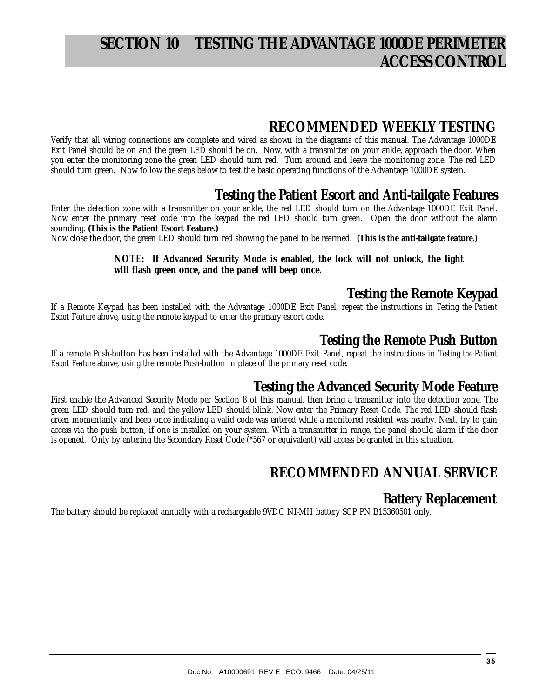# **SECTION 10 TESTING THE ADVANTAGE 1000DE PERIMETER ACCESS CONTROL**

## **RECOMMENDED WEEKLY TESTING**

Verify that all wiring connections are complete and wired as shown in the diagrams of this manual. The Advantage 1000DE Exit Panel should be on and the green LED should be on. Now, with a transmitter on your ankle, approach the door. When you enter the monitoring zone the green LED should turn red. Turn around and leave the monitoring zone. The red LED should turn green. Now follow the steps below to test the basic operating functions of the Advantage 1000DE system.

## **Testing the Patient Escort and Anti-tailgate Features**

Enter the detection zone with a transmitter on your ankle, the red LED should turn on the Advantage 1000DE Exit Panel. Now enter the primary reset code into the keypad the red LED should turn green. Open the door without the alarm sounding. **(This is the Patient Escort Feature.)** 

Now close the door, the green LED should turn red showing the panel to be rearmed. **(This is the anti-tailgate feature.)** 

#### **NOTE: If Advanced Security Mode is enabled, the lock will not unlock, the light will flash green once, and the panel will beep once.**

## **Testing the Remote Keypad**

If a Remote Keypad has been installed with the Advantage 1000DE Exit Panel, repeat the instructions in *Testing the Patient Escort Feature* above, using the remote keypad to enter the primary escort code.

## **Testing the Remote Push Button**

If a remote Push-button has been installed with the Advantage 1000DE Exit Panel, repeat the instructions in *Testing the Patient Escort Feature* above, using the remote Push-button in place of the primary reset code.

## **Testing the Advanced Security Mode Feature**

First enable the Advanced Security Mode per Section 8 of this manual, then bring a transmitter into the detection zone. The green LED should turn red, and the yellow LED should blink. Now enter the Primary Reset Code. The red LED should flash green momentarily and beep once indicating a valid code was entered while a monitored resident was nearby. Next, try to gain access via the push button, if one is installed on your system. With a transmitter in range, the panel should alarm if the door is opened. Only by entering the Secondary Reset Code (\*567 or equivalent) will access be granted in this situation.

## **RECOMMENDED ANNUAL SERVICE**

## **Battery Replacement**

The battery should be replaced annually with a rechargeable 9VDC NI-MH battery SCP PN B15360501 only.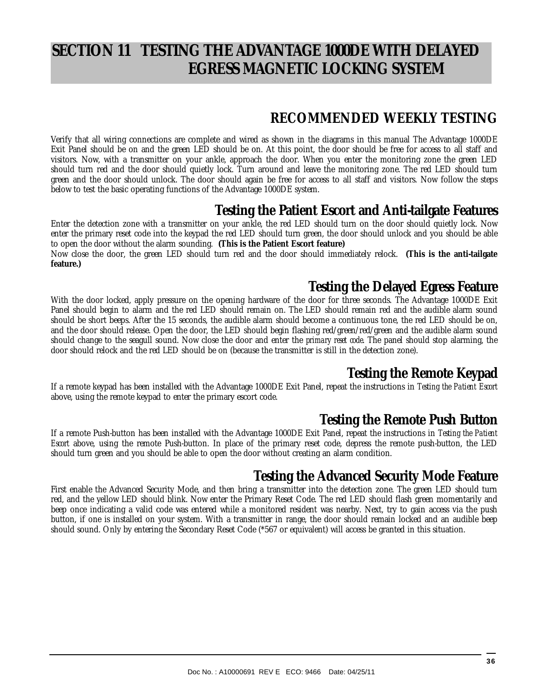# **SECTION 11 TESTING THE ADVANTAGE 1000DE WITH DELAYED EGRESS MAGNETIC LOCKING SYSTEM**

## **RECOMMENDED WEEKLY TESTING**

Verify that all wiring connections are complete and wired as shown in the diagrams in this manual The Advantage 1000DE Exit Panel should be on and the green LED should be on. At this point, the door should be free for access to all staff and visitors. Now, with a transmitter on your ankle, approach the door. When you enter the monitoring zone the green LED should turn red and the door should quietly lock. Turn around and leave the monitoring zone. The red LED should turn green and the door should unlock. The door should again be free for access to all staff and visitors. Now follow the steps below to test the basic operating functions of the Advantage 1000DE system.

## **Testing the Patient Escort and Anti-tailgate Features**

Enter the detection zone with a transmitter on your ankle, the red LED should turn on the door should quietly lock. Now enter the primary reset code into the keypad the red LED should turn green, the door should unlock and you should be able to open the door without the alarm sounding. **(This is the Patient Escort feature)**  Now close the door, the green LED should turn red and the door should immediately relock. **(This is the anti-tailgate feature.)**

## **Testing the Delayed Egress Feature**

With the door locked, apply pressure on the opening hardware of the door for three seconds. The Advantage 1000DE Exit Panel should begin to alarm and the red LED should remain on. The LED should remain red and the audible alarm sound should be short beeps. After the 15 seconds, the audible alarm should become a continuous tone, the red LED should be on, and the door should release. Open the door, the LED should begin flashing red/green/red/green and the audible alarm sound should change to the seagull sound. Now close the door and enter the *primary reset code*. The panel should stop alarming, the door should relock and the red LED should be on (because the transmitter is still in the detection zone).

## **Testing the Remote Keypad**

If a remote keypad has been installed with the Advantage 1000DE Exit Panel, repeat the instructions in *Testing the Patient Escort*  above, using the remote keypad to enter the primary escort code.

## **Testing the Remote Push Button**

If a remote Push-button has been installed with the Advantage 1000DE Exit Panel, repeat the instructions in *Testing the Patient Escort* above, using the remote Push-button. In place of the primary reset code, depress the remote push-button, the LED should turn green and you should be able to open the door without creating an alarm condition.

## **Testing the Advanced Security Mode Feature**

First enable the Advanced Security Mode, and then bring a transmitter into the detection zone. The green LED should turn red, and the yellow LED should blink. Now enter the Primary Reset Code. The red LED should flash green momentarily and beep once indicating a valid code was entered while a monitored resident was nearby. Next, try to gain access via the push button, if one is installed on your system. With a transmitter in range, the door should remain locked and an audible beep should sound. Only by entering the Secondary Reset Code (\*567 or equivalent) will access be granted in this situation.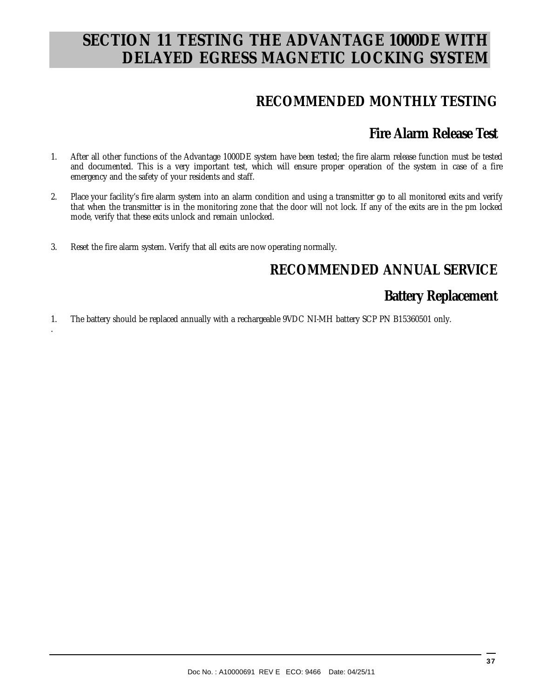# **SECTION 11 TESTING THE ADVANTAGE 1000DE WITH DELAYED EGRESS MAGNETIC LOCKING SYSTEM**

## **RECOMMENDED MONTHLY TESTING**

## **Fire Alarm Release Test**

- 1. After all other functions of the Advantage 1000DE system have been tested; the fire alarm release function must be tested and documented. This is a very important test, which will ensure proper operation of the system in case of a fire emergency and the safety of your residents and staff.
- 2. Place your facility's fire alarm system into an alarm condition and using a transmitter go to all monitored exits and verify that when the transmitter is in the monitoring zone that the door will not lock. If any of the exits are in the pm locked mode, verify that these exits unlock and remain unlocked.
- 3. Reset the fire alarm system. Verify that all exits are now operating normally.

.

## **RECOMMENDED ANNUAL SERVICE**

## **Battery Replacement**

1. The battery should be replaced annually with a rechargeable 9VDC NI-MH battery SCP PN B15360501 only.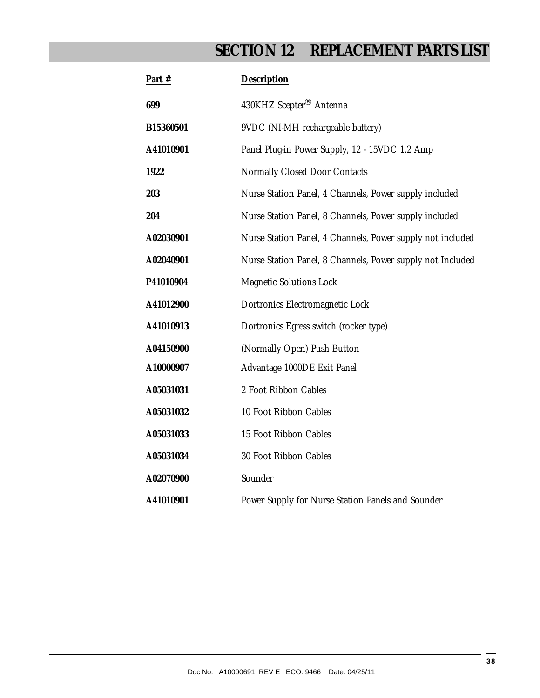# **SECTION 12 REPLACEMENT PARTS LIST**

| Part #    | Description                                                |
|-----------|------------------------------------------------------------|
| 699       | 430KHZ Scepter <sup>®</sup> Antenna                        |
| B15360501 | 9VDC (NI-MH rechargeable battery)                          |
| A41010901 | Panel Plug-in Power Supply, 12 - 15VDC 1.2 Amp             |
| 1922      | Normally Closed Door Contacts                              |
| 203       | Nurse Station Panel, 4 Channels, Power supply included     |
| 204       | Nurse Station Panel, 8 Channels, Power supply included     |
| A02030901 | Nurse Station Panel, 4 Channels, Power supply not included |
| A02040901 | Nurse Station Panel, 8 Channels, Power supply not Included |
| P41010904 | Magnetic Solutions Lock                                    |
| A41012900 | Dortronics Electromagnetic Lock                            |
| A41010913 | Dortronics Egress switch (rocker type)                     |
| A04150900 | (Normally Open) Push Button                                |
| A10000907 | Advantage 1000DE Exit Panel                                |
| A05031031 | 2 Foot Ribbon Cables                                       |
| A05031032 | 10 Foot Ribbon Cables                                      |
| A05031033 | 15 Foot Ribbon Cables                                      |
| A05031034 | 30 Foot Ribbon Cables                                      |
| A02070900 | Sounder                                                    |
| A41010901 | Power Supply for Nurse Station Panels and Sounder          |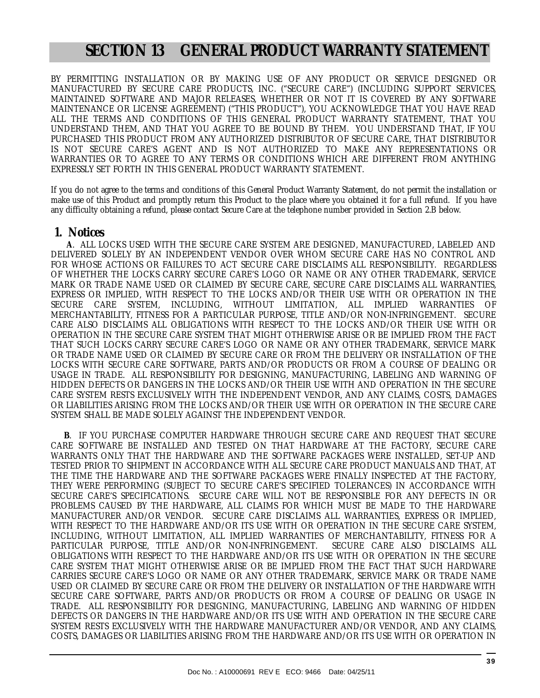# **SECTION 13 GENERAL PRODUCT WARRANTY STATEMENT**

BY PERMITTING INSTALLATION OR BY MAKING USE OF ANY PRODUCT OR SERVICE DESIGNED OR MANUFACTURED BY SECURE CARE PRODUCTS, INC. ("SECURE CARE") (INCLUDING SUPPORT SERVICES, MAINTAINED SOFTWARE AND MAJOR RELEASES, WHETHER OR NOT IT IS COVERED BY ANY SOFTWARE MAINTENANCE OR LICENSE AGREEMENT) ("THIS PRODUCT"), YOU ACKNOWLEDGE THAT YOU HAVE READ ALL THE TERMS AND CONDITIONS OF THIS GENERAL PRODUCT WARRANTY STATEMENT, THAT YOU UNDERSTAND THEM, AND THAT YOU AGREE TO BE BOUND BY THEM. YOU UNDERSTAND THAT, IF YOU PURCHASED THIS PRODUCT FROM ANY AUTHORIZED DISTRIBUTOR OF SECURE CARE, THAT DISTRIBUTOR IS NOT SECURE CARE'S AGENT AND IS NOT AUTHORIZED TO MAKE ANY REPRESENTATIONS OR WARRANTIES OR TO AGREE TO ANY TERMS OR CONDITIONS WHICH ARE DIFFERENT FROM ANYTHING EXPRESSLY SET FORTH IN THIS GENERAL PRODUCT WARRANTY STATEMENT.

If you do not agree to the terms and conditions of this General Product Warranty Statement, do not permit the installation or make use of this Product and promptly return this Product to the place where you obtained it for a full refund. If you have any difficulty obtaining a refund, please contact Secure Care at the telephone number provided in Section 2.B below.

#### **1. Notices**

 **A**. ALL LOCKS USED WITH THE SECURE CARE SYSTEM ARE DESIGNED, MANUFACTURED, LABELED AND DELIVERED SOLELY BY AN INDEPENDENT VENDOR OVER WHOM SECURE CARE HAS NO CONTROL AND FOR WHOSE ACTIONS OR FAILURES TO ACT SECURE CARE DISCLAIMS ALL RESPONSIBILITY. REGARDLESS OF WHETHER THE LOCKS CARRY SECURE CARE'S LOGO OR NAME OR ANY OTHER TRADEMARK, SERVICE MARK OR TRADE NAME USED OR CLAIMED BY SECURE CARE, SECURE CARE DISCLAIMS ALL WARRANTIES, EXPRESS OR IMPLIED, WITH RESPECT TO THE LOCKS AND/OR THEIR USE WITH OR OPERATION IN THE SECURE CARE SYSTEM, INCLUDING, WITHOUT LIMITATION, ALL IMPLIED WARRANTIES OF MERCHANTABILITY, FITNESS FOR A PARTICULAR PURPOSE, TITLE AND/OR NON-INFRINGEMENT. SECURE CARE ALSO DISCLAIMS ALL OBLIGATIONS WITH RESPECT TO THE LOCKS AND/OR THEIR USE WITH OR OPERATION IN THE SECURE CARE SYSTEM THAT MIGHT OTHERWISE ARISE OR BE IMPLIED FROM THE FACT THAT SUCH LOCKS CARRY SECURE CARE'S LOGO OR NAME OR ANY OTHER TRADEMARK, SERVICE MARK OR TRADE NAME USED OR CLAIMED BY SECURE CARE OR FROM THE DELIVERY OR INSTALLATION OF THE LOCKS WITH SECURE CARE SOFTWARE, PARTS AND/OR PRODUCTS OR FROM A COURSE OF DEALING OR USAGE IN TRADE. ALL RESPONSIBILITY FOR DESIGNING, MANUFACTURING, LABELING AND WARNING OF HIDDEN DEFECTS OR DANGERS IN THE LOCKS AND/OR THEIR USE WITH AND OPERATION IN THE SECURE CARE SYSTEM RESTS EXCLUSIVELY WITH THE INDEPENDENT VENDOR, AND ANY CLAIMS, COSTS, DAMAGES OR LIABILITIES ARISING FROM THE LOCKS AND/OR THEIR USE WITH OR OPERATION IN THE SECURE CARE SYSTEM SHALL BE MADE SOLELY AGAINST THE INDEPENDENT VENDOR.

 **B**. IF YOU PURCHASE COMPUTER HARDWARE THROUGH SECURE CARE AND REQUEST THAT SECURE CARE SOFTWARE BE INSTALLED AND TESTED ON THAT HARDWARE AT THE FACTORY, SECURE CARE WARRANTS ONLY THAT THE HARDWARE AND THE SOFTWARE PACKAGES WERE INSTALLED, SET-UP AND TESTED PRIOR TO SHIPMENT IN ACCORDANCE WITH ALL SECURE CARE PRODUCT MANUALS AND THAT, AT THE TIME THE HARDWARE AND THE SOFTWARE PACKAGES WERE FINALLY INSPECTED AT THE FACTORY, THEY WERE PERFORMING (SUBJECT TO SECURE CARE'S SPECIFIED TOLERANCES) IN ACCORDANCE WITH SECURE CARE'S SPECIFICATIONS. SECURE CARE WILL NOT BE RESPONSIBLE FOR ANY DEFECTS IN OR PROBLEMS CAUSED BY THE HARDWARE, ALL CLAIMS FOR WHICH MUST BE MADE TO THE HARDWARE MANUFACTURER AND/OR VENDOR. SECURE CARE DISCLAIMS ALL WARRANTIES, EXPRESS OR IMPLIED, WITH RESPECT TO THE HARDWARE AND/OR ITS USE WITH OR OPERATION IN THE SECURE CARE SYSTEM, INCLUDING, WITHOUT LIMITATION, ALL IMPLIED WARRANTIES OF MERCHANTABILITY, FITNESS FOR A PARTICULAR PURPOSE, TITLE AND/OR NON-INFRINGEMENT. SECURE CARE ALSO DISCLAIMS ALL OBLIGATIONS WITH RESPECT TO THE HARDWARE AND/OR ITS USE WITH OR OPERATION IN THE SECURE CARE SYSTEM THAT MIGHT OTHERWISE ARISE OR BE IMPLIED FROM THE FACT THAT SUCH HARDWARE CARRIES SECURE CARE'S LOGO OR NAME OR ANY OTHER TRADEMARK, SERVICE MARK OR TRADE NAME USED OR CLAIMED BY SECURE CARE OR FROM THE DELIVERY OR INSTALLATION OF THE HARDWARE WITH SECURE CARE SOFTWARE, PARTS AND/OR PRODUCTS OR FROM A COURSE OF DEALING OR USAGE IN TRADE. ALL RESPONSIBILITY FOR DESIGNING, MANUFACTURING, LABELING AND WARNING OF HIDDEN DEFECTS OR DANGERS IN THE HARDWARE AND/OR ITS USE WITH AND OPERATION IN THE SECURE CARE SYSTEM RESTS EXCLUSIVELY WITH THE HARDWARE MANUFACTURER AND/OR VENDOR, AND ANY CLAIMS, COSTS, DAMAGES OR LIABILITIES ARISING FROM THE HARDWARE AND/OR ITS USE WITH OR OPERATION IN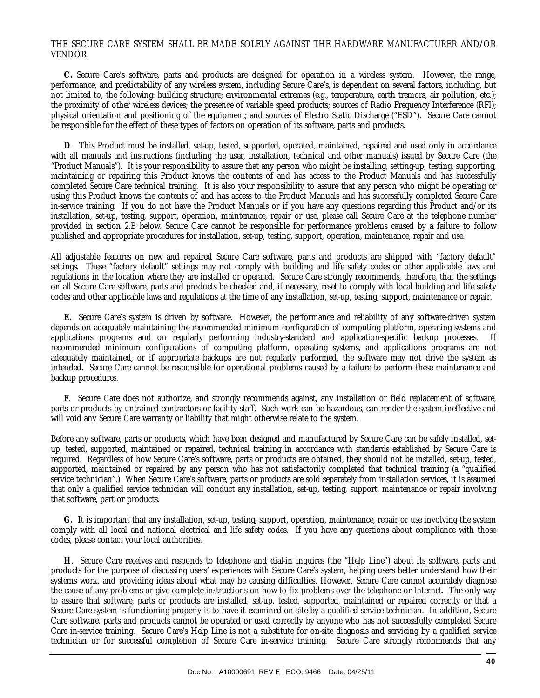#### THE SECURE CARE SYSTEM SHALL BE MADE SOLELY AGAINST THE HARDWARE MANUFACTURER AND/OR VENDOR.

 **C.** Secure Care's software, parts and products are designed for operation in a wireless system. However, the range, performance, and predictability of any wireless system, including Secure Care's, is dependent on several factors, including, but not limited to, the following: building structure; environmental extremes (e.g., temperature, earth tremors, air pollution, etc.); the proximity of other wireless devices; the presence of variable speed products; sources of Radio Frequency Interference (RFI); physical orientation and positioning of the equipment; and sources of Electro Static Discharge ("ESD"). Secure Care cannot be responsible for the effect of these types of factors on operation of its software, parts and products.

 **D**. This Product must be installed, set-up, tested, supported, operated, maintained, repaired and used only in accordance with all manuals and instructions (including the user, installation, technical and other manuals) issued by Secure Care (the "Product Manuals"). It is your responsibility to assure that any person who might be installing, setting-up, testing, supporting, maintaining or repairing this Product knows the contents of and has access to the Product Manuals and has successfully completed Secure Care technical training. It is also your responsibility to assure that any person who might be operating or using this Product knows the contents of and has access to the Product Manuals and has successfully completed Secure Care in-service training. If you do not have the Product Manuals or if you have any questions regarding this Product and/or its installation, set-up, testing, support, operation, maintenance, repair or use, please call Secure Care at the telephone number provided in section 2.B below. Secure Care cannot be responsible for performance problems caused by a failure to follow published and appropriate procedures for installation, set-up, testing, support, operation, maintenance, repair and use.

All adjustable features on new and repaired Secure Care software, parts and products are shipped with "factory default" settings. These "factory default" settings may not comply with building and life safety codes or other applicable laws and regulations in the location where they are installed or operated. Secure Care strongly recommends, therefore, that the settings on all Secure Care software, parts and products be checked and, if necessary, reset to comply with local building and life safety codes and other applicable laws and regulations at the time of any installation, set-up, testing, support, maintenance or repair.

 **E.** Secure Care's system is driven by software. However, the performance and reliability of any software-driven system depends on adequately maintaining the recommended minimum configuration of computing platform, operating systems and applications programs and on regularly performing industry-standard and application-specific backup processes. If recommended minimum configurations of computing platform, operating systems, and applications programs are not adequately maintained, or if appropriate backups are not regularly performed, the software may not drive the system as intended. Secure Care cannot be responsible for operational problems caused by a failure to perform these maintenance and backup procedures.

 **F**. Secure Care does not authorize, and strongly recommends against, any installation or field replacement of software, parts or products by untrained contractors or facility staff. Such work can be hazardous, can render the system ineffective and will void any Secure Care warranty or liability that might otherwise relate to the system.

Before any software, parts or products, which have been designed and manufactured by Secure Care can be safely installed, setup, tested, supported, maintained or repaired, technical training in accordance with standards established by Secure Care is required. Regardless of how Secure Care's software, parts or products are obtained, they should not be installed, set-up, tested, supported, maintained or repaired by any person who has not satisfactorily completed that technical training (a "qualified service technician".) When Secure Care's software, parts or products are sold separately from installation services, it is assumed that only a qualified service technician will conduct any installation, set-up, testing, support, maintenance or repair involving that software, part or products.

 **G.** It is important that any installation, set-up, testing, support, operation, maintenance, repair or use involving the system comply with all local and national electrical and life safety codes. If you have any questions about compliance with those codes, please contact your local authorities.

 **H**. Secure Care receives and responds to telephone and dial-in inquires (the "Help Line") about its software, parts and products for the purpose of discussing users' experiences with Secure Care's system, helping users better understand how their systems work, and providing ideas about what may be causing difficulties. However, Secure Care cannot accurately diagnose the cause of any problems or give complete instructions on how to fix problems over the telephone or Internet. The only way to assure that software, parts or products are installed, set-up, tested, supported, maintained or repaired correctly or that a Secure Care system is functioning properly is to have it examined on site by a qualified service technician. In addition, Secure Care software, parts and products cannot be operated or used correctly by anyone who has not successfully completed Secure Care in-service training. Secure Care's Help Line is not a substitute for on-site diagnosis and servicing by a qualified service technician or for successful completion of Secure Care in-service training. Secure Care strongly recommends that any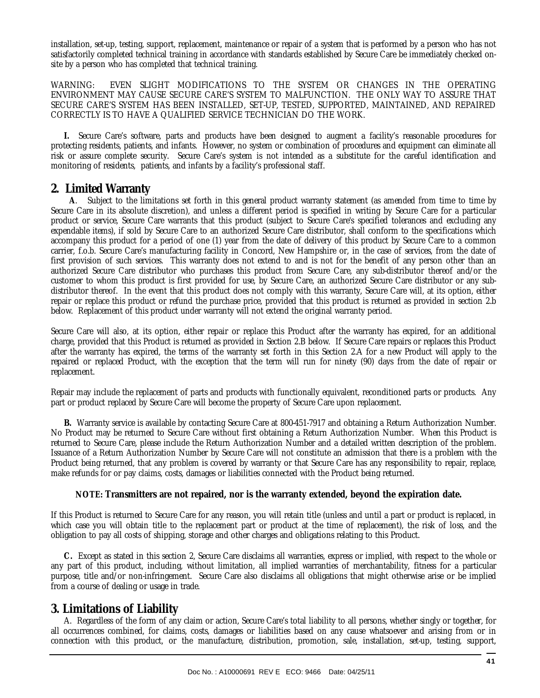installation, set-up, testing, support, replacement, maintenance or repair of a system that is performed by a person who has not satisfactorily completed technical training in accordance with standards established by Secure Care be immediately checked onsite by a person who has completed that technical training.

WARNING: EVEN SLIGHT MODIFICATIONS TO THE SYSTEM OR CHANGES IN THE OPERATING ENVIRONMENT MAY CAUSE SECURE CARE'S SYSTEM TO MALFUNCTION. THE ONLY WAY TO ASSURE THAT SECURE CARE'S SYSTEM HAS BEEN INSTALLED, SET-UP, TESTED, SUPPORTED, MAINTAINED, AND REPAIRED CORRECTLY IS TO HAVE A QUALIFIED SERVICE TECHNICIAN DO THE WORK.

 **I.** Secure Care's software, parts and products have been designed to augment a facility's reasonable procedures for protecting residents, patients, and infants. However, no system or combination of procedures and equipment can eliminate all risk or assure complete security. Secure Care's system is not intended as a substitute for the careful identification and monitoring of residents, patients, and infants by a facility's professional staff.

#### **2. Limited Warranty**

 **A**. Subject to the limitations set forth in this general product warranty statement (as amended from time to time by Secure Care in its absolute discretion), and unless a different period is specified in writing by Secure Care for a particular product or service, Secure Care warrants that this product (subject to Secure Care's specified tolerances and excluding any expendable items), if sold by Secure Care to an authorized Secure Care distributor, shall conform to the specifications which accompany this product for a period of one (1) year from the date of delivery of this product by Secure Care to a common carrier, f.o.b. Secure Care's manufacturing facility in Concord, New Hampshire or, in the case of services, from the date of first provision of such services. This warranty does not extend to and is not for the benefit of any person other than an authorized Secure Care distributor who purchases this product from Secure Care, any sub-distributor thereof and/or the customer to whom this product is first provided for use, by Secure Care, an authorized Secure Care distributor or any subdistributor thereof. In the event that this product does not comply with this warranty, Secure Care will, at its option, either repair or replace this product or refund the purchase price, provided that this product is returned as provided in section 2.b below. Replacement of this product under warranty will not extend the original warranty period.

Secure Care will also, at its option, either repair or replace this Product after the warranty has expired, for an additional charge, provided that this Product is returned as provided in Section 2.B below. If Secure Care repairs or replaces this Product after the warranty has expired, the terms of the warranty set forth in this Section 2.A for a new Product will apply to the repaired or replaced Product, with the exception that the term will run for ninety (90) days from the date of repair or replacement.

Repair may include the replacement of parts and products with functionally equivalent, reconditioned parts or products. Any part or product replaced by Secure Care will become the property of Secure Care upon replacement.

 **B.** Warranty service is available by contacting Secure Care at 800-451-7917 and obtaining a Return Authorization Number. No Product may be returned to Secure Care without first obtaining a Return Authorization Number. When this Product is returned to Secure Care, please include the Return Authorization Number and a detailed written description of the problem. Issuance of a Return Authorization Number by Secure Care will not constitute an admission that there is a problem with the Product being returned, that any problem is covered by warranty or that Secure Care has any responsibility to repair, replace, make refunds for or pay claims, costs, damages or liabilities connected with the Product being returned.

#### **NOTE: Transmitters are not repaired, nor is the warranty extended, beyond the expiration date.**

If this Product is returned to Secure Care for any reason, you will retain title (unless and until a part or product is replaced, in which case you will obtain title to the replacement part or product at the time of replacement), the risk of loss, and the obligation to pay all costs of shipping, storage and other charges and obligations relating to this Product.

 **C.** Except as stated in this section 2, Secure Care disclaims all warranties, express or implied, with respect to the whole or any part of this product, including, without limitation, all implied warranties of merchantability, fitness for a particular purpose, title and/or non-infringement. Secure Care also disclaims all obligations that might otherwise arise or be implied from a course of dealing or usage in trade.

### **3. Limitations of Liability**

 A. Regardless of the form of any claim or action, Secure Care's total liability to all persons, whether singly or together, for all occurrences combined, for claims, costs, damages or liabilities based on any cause whatsoever and arising from or in connection with this product, or the manufacture, distribution, promotion, sale, installation, set-up, testing, support,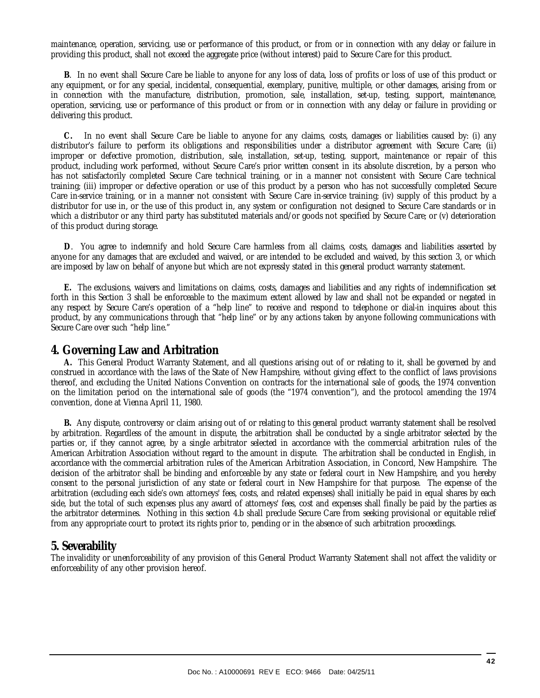maintenance, operation, servicing, use or performance of this product, or from or in connection with any delay or failure in providing this product, shall not exceed the aggregate price (without interest) paid to Secure Care for this product.

 **B**. In no event shall Secure Care be liable to anyone for any loss of data, loss of profits or loss of use of this product or any equipment, or for any special, incidental, consequential, exemplary, punitive, multiple, or other damages, arising from or in connection with the manufacture, distribution, promotion, sale, installation, set-up, testing, support, maintenance, operation, servicing, use or performance of this product or from or in connection with any delay or failure in providing or delivering this product.

 **C.** In no event shall Secure Care be liable to anyone for any claims, costs, damages or liabilities caused by: (i) any distributor's failure to perform its obligations and responsibilities under a distributor agreement with Secure Care; (ii) improper or defective promotion, distribution, sale, installation, set-up, testing, support, maintenance or repair of this product, including work performed, without Secure Care's prior written consent in its absolute discretion, by a person who has not satisfactorily completed Secure Care technical training, or in a manner not consistent with Secure Care technical training; (iii) improper or defective operation or use of this product by a person who has not successfully completed Secure Care in-service training, or in a manner not consistent with Secure Care in-service training; (iv) supply of this product by a distributor for use in, or the use of this product in, any system or configuration not designed to Secure Care standards or in which a distributor or any third party has substituted materials and/or goods not specified by Secure Care; or (v) deterioration of this product during storage.

 **D**. You agree to indemnify and hold Secure Care harmless from all claims, costs, damages and liabilities asserted by anyone for any damages that are excluded and waived, or are intended to be excluded and waived, by this section 3, or which are imposed by law on behalf of anyone but which are not expressly stated in this general product warranty statement.

 **E.** The exclusions, waivers and limitations on claims, costs, damages and liabilities and any rights of indemnification set forth in this Section 3 shall be enforceable to the maximum extent allowed by law and shall not be expanded or negated in any respect by Secure Care's operation of a "help line" to receive and respond to telephone or dial-in inquires about this product, by any communications through that "help line" or by any actions taken by anyone following communications with Secure Care over such "help line."

#### **4. Governing Law and Arbitration**

 **A.** This General Product Warranty Statement, and all questions arising out of or relating to it, shall be governed by and construed in accordance with the laws of the State of New Hampshire, without giving effect to the conflict of laws provisions thereof, and excluding the United Nations Convention on contracts for the international sale of goods, the 1974 convention on the limitation period on the international sale of goods (the "1974 convention"), and the protocol amending the 1974 convention, done at Vienna April 11, 1980.

 **B.** Any dispute, controversy or claim arising out of or relating to this general product warranty statement shall be resolved by arbitration. Regardless of the amount in dispute, the arbitration shall be conducted by a single arbitrator selected by the parties or, if they cannot agree, by a single arbitrator selected in accordance with the commercial arbitration rules of the American Arbitration Association without regard to the amount in dispute. The arbitration shall be conducted in English, in accordance with the commercial arbitration rules of the American Arbitration Association, in Concord, New Hampshire. The decision of the arbitrator shall be binding and enforceable by any state or federal court in New Hampshire, and you hereby consent to the personal jurisdiction of any state or federal court in New Hampshire for that purpose. The expense of the arbitration (excluding each side's own attorneys' fees, costs, and related expenses) shall initially be paid in equal shares by each side, but the total of such expenses plus any award of attorneys' fees, cost and expenses shall finally be paid by the parties as the arbitrator determines. Nothing in this section 4.b shall preclude Secure Care from seeking provisional or equitable relief from any appropriate court to protect its rights prior to, pending or in the absence of such arbitration proceedings.

#### **5. Severability**

The invalidity or unenforceability of any provision of this General Product Warranty Statement shall not affect the validity or enforceability of any other provision hereof.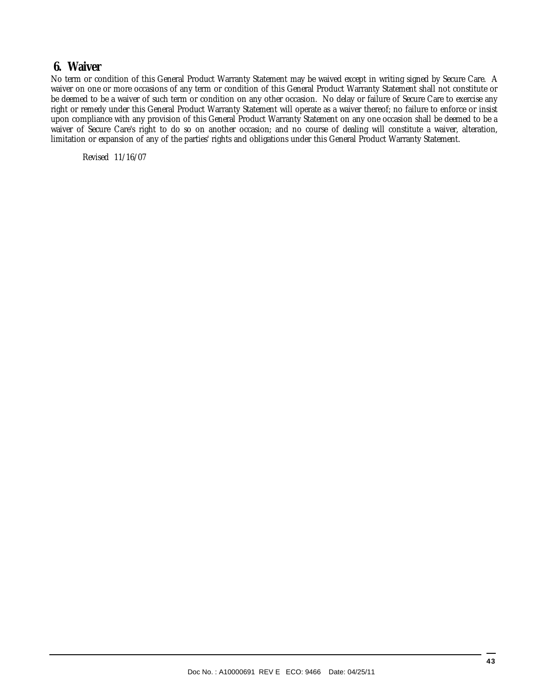### **6. Waiver**

No term or condition of this General Product Warranty Statement may be waived except in writing signed by Secure Care. A waiver on one or more occasions of any term or condition of this General Product Warranty Statement shall not constitute or be deemed to be a waiver of such term or condition on any other occasion. No delay or failure of Secure Care to exercise any right or remedy under this General Product Warranty Statement will operate as a waiver thereof; no failure to enforce or insist upon compliance with any provision of this General Product Warranty Statement on any one occasion shall be deemed to be a waiver of Secure Care's right to do so on another occasion; and no course of dealing will constitute a waiver, alteration, limitation or expansion of any of the parties' rights and obligations under this General Product Warranty Statement.

Revised 11/16/07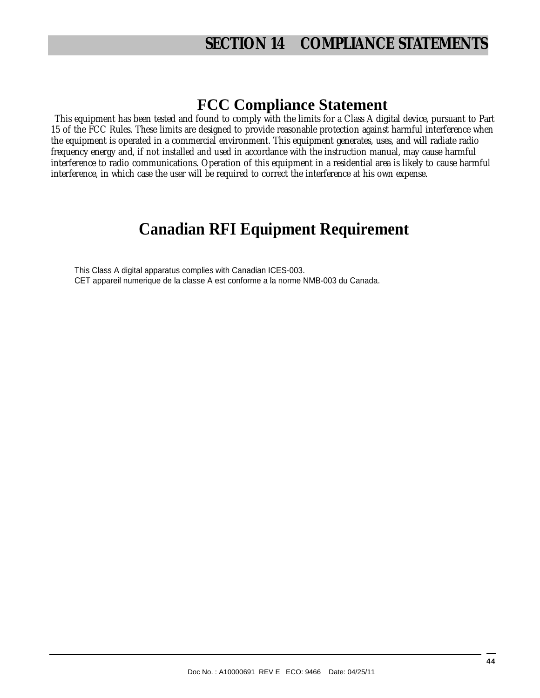# **SECTION 14 COMPLIANCE STATEMENTS**

## **FCC Compliance Statement**

This equipment has been tested and found to comply with the limits for a Class A digital device, pursuant to Part 15 of the FCC Rules. These limits are designed to provide reasonable protection against harmful interference when the equipment is operated in a commercial environment. This equipment generates, uses, and will radiate radio frequency energy and, if not installed and used in accordance with the instruction manual, may cause harmful interference to radio communications. Operation of this equipment in a residential area is likely to cause harmful interference, in which case the user will be required to correct the interference at his own expense.

# **Canadian RFI Equipment Requirement**

This Class A digital apparatus complies with Canadian ICES-003. CET appareil numerique de la classe A est conforme a la norme NMB-003 du Canada.